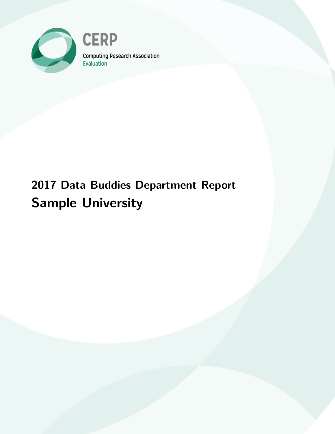

**CERP** Computing Research Association Evaluation

# 2017 Data Buddies Department Report Sample University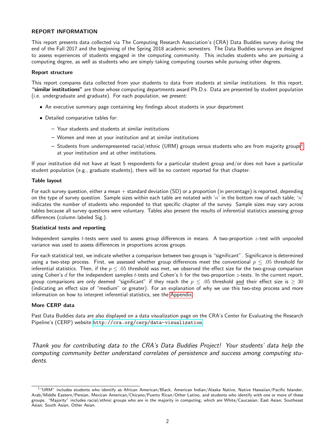### REPORT INFORMATION

This report presents data collected via The Computing Research Association's (CRA) Data Buddies survey during the end of the Fall 2017 and the beginning of the Spring 2018 academic semesters. The Data Buddies surveys are designed to assess experiences of students engaged in the computing community. This includes students who are pursuing a computing degree, as well as students who are simply taking computing courses while pursuing other degrees.

#### Report structure

This report compares data collected from your students to data from students at similar institutions. In this report, "similar institutions" are those whose computing departments award Ph.D.s. Data are presented by student population (i.e. undergraduate and graduate). For each population, we present:

- An executive summary page containing key findings about students in your department
- Detailed comparative tables for:
	- Your students and students at similar institutions
	- Women and men at your institution and at similar institutions
	- Students from underrepresented racial/ethnic (URM) groups versus students who are from majority groups<sup>[1](#page-1-0)</sup> at your institution and at other institutions.

If your institution did not have at least 5 respondents for a particular student group and/or does not have a particular student population (e.g., graduate students), there will be no content reported for that chapter.

### Table layout

For each survey question, either a mean  $+$  standard deviation (SD) or a proportion (in percentage) is reported, depending on the type of survey question. Sample sizes within each table are notated with 'n' in the bottom row of each table; 'n' indicates the number of students who responded to that specific chapter of the survey. Sample sizes may vary across tables because all survey questions were voluntary. Tables also present the results of inferential statistics assessing group differences (column labeled Sig.).

### Statistical tests and reporting

Independent samples *t*-tests were used to assess group differences in means. A two-proportion  $z$ -test with unpooled variance was used to assess differences in proportions across groups.

For each statistical test, we indicate whether a comparison between two groups is "significant". Significance is determined using a two-step process. First, we assessed whether group differences meet the conventional  $p \leq .05$  threshold for inferential statistics. Then, if the  $p \leq .05$  threshold was met, we observed the effect size for the two-group comparison using Cohen's d for the independent samples t-tests and Cohen's h for the two-proportion z-tests. In the current report, group comparisons are only deemed "significant" if they reach the  $p \leq .05$  threshold and their effect size is  $\geq 30$ (indicating an effect size of "medium" or greater). For an explanation of why we use this two-step process and more information on how to interpret inferential statistics, see the [Appendix.](#page-49-0)

### More CERP data

Past Data Buddies data are also displayed on a data visualization page on the CRA's Center for Evaluating the Research Pipeline's (CERP) website <http://cra.org/cerp/data-visualization>.

Thank you for contributing data to the CRA's Data Buddies Project! Your students' data help the computing community better understand correlates of persistence and success among computing students.

<span id="page-1-0"></span> $1$  "URM" includes students who identify as African American/Black, American Indian/Alaska Native, Native Hawaiian/Pacific Islander, Arab/Middle Eastern/Persian, Mexican American/Chicano/Puerto Rican/Other Latino, and students who identify with one or more of these groups. "Majority" includes racial/ethnic groups who are in the majority in computing, which are White/Caucasian; East Asian; Southeast Asian; South Asian, Other Asian.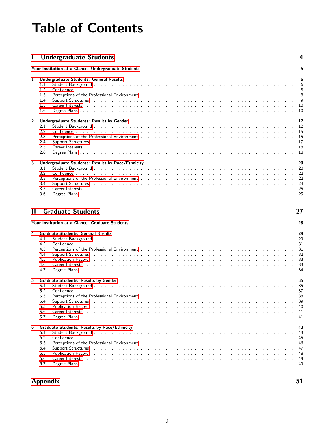# <span id="page-2-0"></span>Table of Contents

| <b>Confidential Undergraduate Students</b> |  |
|--------------------------------------------|--|
|--------------------------------------------|--|

|                   | Your Institution at a Glance: Undergraduate Students                                                                                                                                                                                                                                                                                                                                                                     | 5                                                                                |
|-------------------|--------------------------------------------------------------------------------------------------------------------------------------------------------------------------------------------------------------------------------------------------------------------------------------------------------------------------------------------------------------------------------------------------------------------------|----------------------------------------------------------------------------------|
| 1                 | <b>Undergraduate Students: General Results</b><br>1.1<br>1.2<br>1.3<br>1.4<br>1.5<br>1.6                                                                                                                                                                                                                                                                                                                                 | 6<br>6<br>8<br>8<br>9<br>- 10<br>10                                              |
| $\mathbf{2}$<br>3 | Undergraduate Students: Results by Gender<br>2.1<br>2.2<br>2.3<br>2.4<br>2.5<br><b>Career Interests</b> 2006 to 2006 to 2007 to 2006 the Care and 2007 to 2006 the 2007 to 2007 the 2007 to 2007 the 2007 to 2007 the 2007 to 2007 the 2008 of 2007 to 2008 the 2007 to 2008 the 2008 to 2008 the 2008 to 2008 the<br>2.6<br>Undergraduate Students: Results by Race/Ethnicity<br>3.1<br>3.2<br>3.3<br>3.4<br>3.5<br>3.6 | 12<br>12<br>15<br>15<br>17<br>18<br>18<br>20<br>20<br>22<br>22<br>24<br>25<br>25 |
| $\mathbf{I}$      | <b>Graduate Students</b>                                                                                                                                                                                                                                                                                                                                                                                                 | 27                                                                               |
|                   | Your Institution at a Glance: Graduate Students                                                                                                                                                                                                                                                                                                                                                                          | 28                                                                               |
| 4                 | <b>Graduate Students: General Results</b><br>4.1<br>4.2<br>Perceptions of the Professional Environment et al., and a series and a series and a series of the Professional Environment et al., and a series and a series of the Professional Environment et al., and a series are a series<br>4.3<br>4.4<br>4.5<br>4.6                                                                                                    | 29<br>29<br>31<br>31<br>32<br>33<br>33                                           |

|    | 4.7 |                                                     |    |
|----|-----|-----------------------------------------------------|----|
| 5. |     | <b>Graduate Students: Results by Gender</b>         | 35 |
|    | 5.1 |                                                     |    |
|    | 52  |                                                     |    |
|    | 5.3 |                                                     |    |
|    | 5.4 |                                                     |    |
|    | 5.5 |                                                     |    |
|    | 5.6 |                                                     |    |
|    | 5.7 |                                                     |    |
|    |     |                                                     |    |
| 6  |     | <b>Graduate Students: Results by Race/Ethnicity</b> | 43 |
|    | 6.1 |                                                     |    |
|    | 6.2 |                                                     |    |
|    | 6.3 |                                                     |    |
|    |     |                                                     |    |
|    | 6.4 |                                                     |    |
|    | 6.5 |                                                     |    |
|    | 6.6 |                                                     |    |
|    | 6.7 |                                                     |    |
|    |     |                                                     |    |

## [Appendix](#page-49-0) 51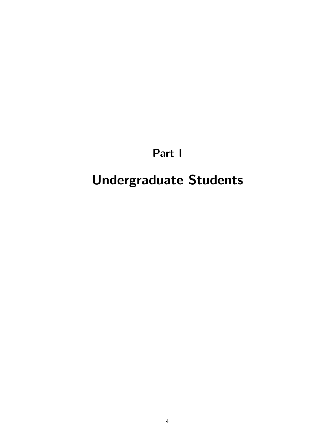## Part I

# <span id="page-3-0"></span>Undergraduate Students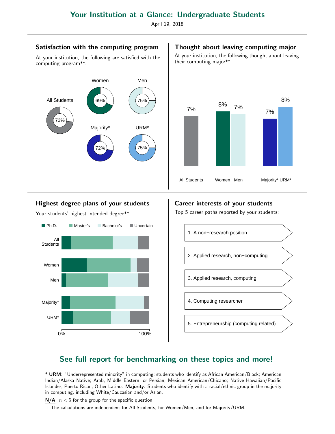April 19, 2018

### Satisfaction with the computing program

At your institution, the following are satisfied with the computing program\*\*:



### Highest degree plans of your students

Your students' highest intended degree\*\*:



### Career interests of your students

Top 5 career paths reported by your students:



## See full report for benchmarking on these topics and more!

\* URM: "Underrepresented minority" in computing; students who identify as African American/Black; American Indian/Alaska Native; Arab, Middle Eastern, or Persian; Mexican American/Chicano; Native Hawaiian/Pacific Islander; Puerto Rican, Other Latino. Majority: Students who identify with a racial/ethnic group in the majority in computing, including White/Caucasian and/or Asian.

 $N/A$ :  $n < 5$  for the group for the specific question.

+ The calculations are independent for All Students, for Women/Men, and for Majority/URM.

### Thought about leaving computing major

At your institution, the following thought about leaving their computing major\*\*:

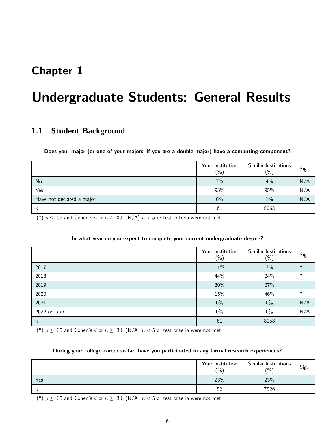## <span id="page-5-0"></span>Chapter 1

## Undergraduate Students: General Results

## <span id="page-5-1"></span>1.1 Student Background

Does your major (or one of your majors, if you are a double major) have a computing component?

|                           | Your Institution<br>$(\% )$ | Similar Institutions<br>(% ) | Sig. |
|---------------------------|-----------------------------|------------------------------|------|
| No                        | 7%                          | 4%                           | N/A  |
| Yes                       | 93%                         | 95%                          | N/A  |
| Have not declared a major | $0\%$                       | 1%                           | N/A  |
| $\boldsymbol{n}$          | 61                          | 8063                         |      |

(\*)  $p \leq .05$  and Cohen's d or  $h \geq .30$ ; (N/A)  $n < 5$  or test criteria were not met

### In what year do you expect to complete your current undergraduate degree?

|               | Your Institution<br>$\frac{6}{6}$ | Similar Institutions<br>$(\%)$ | Sig.   |
|---------------|-----------------------------------|--------------------------------|--------|
| 2017          | 11%                               | 3%                             | $\ast$ |
| 2018          | 44%                               | 24%                            | $\ast$ |
| 2019          | 30%                               | 27%                            |        |
| 2020          | 15%                               | 46%                            | $\ast$ |
| 2021          | $0\%$                             | $0\%$                          | N/A    |
| 2022 or later | $0\%$                             | 0%                             | N/A    |
| $\, n$        | 61                                | 8058                           |        |

(\*)  $p \leq .05$  and Cohen's d or  $h \geq .30$ ; (N/A)  $n < 5$  or test criteria were not met

### During your college career so far, have you participated in any formal research experiences?

|        | Your Institution<br>$(\% )$ | Similar Institutions<br>(0/0) | Sig. |
|--------|-----------------------------|-------------------------------|------|
| Yes    | 23%                         | 23%                           |      |
| $\, n$ | 56                          | 7526                          |      |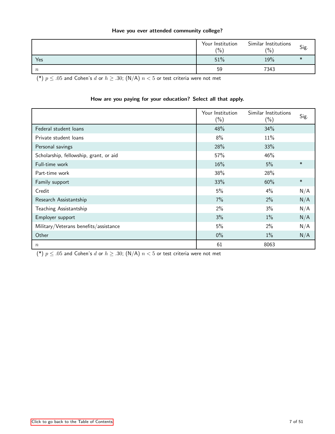### Have you ever attended community college?

|                  | Your Institution<br>$\frac{1}{2}$ | Similar Institutions<br>(0/0) | Sig. |
|------------------|-----------------------------------|-------------------------------|------|
| Yes              | 51%                               | 19%                           |      |
| $\boldsymbol{n}$ | 59                                | 7343                          |      |

(\*)  $p \leq .05$  and Cohen's d or  $h \geq .30$ ; (N/A)  $n < 5$  or test criteria were not met

### How are you paying for your education? Select all that apply.

|                                        | Your Institution<br>$(\%)$ | Similar Institutions<br>$(\%)$ | Sig.   |
|----------------------------------------|----------------------------|--------------------------------|--------|
| Federal student loans                  | 48%                        | 34%                            |        |
| Private student loans                  | 8%                         | 11%                            |        |
| Personal savings                       | 28%                        | 33%                            |        |
| Scholarship, fellowship, grant, or aid | 57%                        | 46%                            |        |
| Full-time work                         | 16%                        | 5%                             | $\ast$ |
| Part-time work                         | 38%                        | 28%                            |        |
| Family support                         | 33%                        | 60%                            | $\ast$ |
| Credit                                 | 5%                         | 4%                             | N/A    |
| Research Assistantship                 | 7%                         | 2%                             | N/A    |
| Teaching Assistantship                 | 2%                         | 3%                             | N/A    |
| Employer support                       | 3%                         | $1\%$                          | N/A    |
| Military/Veterans benefits/assistance  | 5%                         | 2%                             | N/A    |
| Other                                  | $0\%$                      | $1\%$                          | N/A    |
| $\boldsymbol{n}$                       | 61                         | 8063                           |        |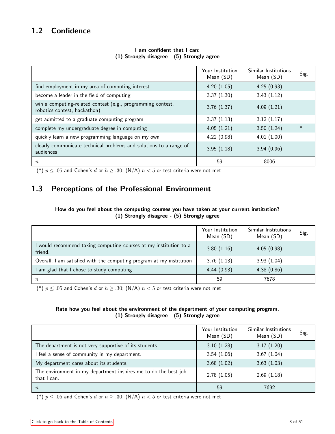## <span id="page-7-0"></span>1.2 Confidence

|                                                                                             | Your Institution<br>Mean (SD) | Similar Institutions<br>Mean (SD) | Sig.   |
|---------------------------------------------------------------------------------------------|-------------------------------|-----------------------------------|--------|
| find employment in my area of computing interest                                            | 4.20(1.05)                    | 4.25(0.93)                        |        |
| become a leader in the field of computing                                                   | 3.37(1.30)                    | 3.43(1.12)                        |        |
| win a computing-related contest (e.g., programming contest,<br>robotics contest, hackathon) | 3.76(1.37)                    | 4.09(1.21)                        |        |
| get admitted to a graduate computing program                                                | 3.37(1.13)                    | 3.12(1.17)                        |        |
| complete my undergraduate degree in computing                                               | 4.05(1.21)                    | 3.50(1.24)                        | $\ast$ |
| quickly learn a new programming language on my own                                          | 4.22(0.98)                    | 4.01(1.00)                        |        |
| clearly communicate technical problems and solutions to a range of<br>audiences             | 3.95(1.18)                    | 3.94(0.96)                        |        |
| $\boldsymbol{n}$                                                                            | 59                            | 8006                              |        |

### I am confident that I can: (1) Strongly disagree - (5) Strongly agree

(\*)  $p \leq .05$  and Cohen's d or  $h \geq .30$ ; (N/A)  $n < 5$  or test criteria were not met

## <span id="page-7-1"></span>1.3 Perceptions of the Professional Environment

### How do you feel about the computing courses you have taken at your current institution? (1) Strongly disagree - (5) Strongly agree

|                                                                              | Your Institution<br>Mean (SD) | Similar Institutions<br>Mean (SD) | Sig. |
|------------------------------------------------------------------------------|-------------------------------|-----------------------------------|------|
| I would recommend taking computing courses at my institution to a<br>friend. | 3.80(1.16)                    | 4.05(0.98)                        |      |
| Overall, I am satisfied with the computing program at my institution         | 3.76(1.13)                    | 3.93(1.04)                        |      |
| I am glad that I chose to study computing                                    | 4.44(0.93)                    | 4.38(0.86)                        |      |
| $\boldsymbol{n}$                                                             | 59                            | 7678                              |      |

(\*)  $p \leq .05$  and Cohen's d or  $h \geq .30$ ; (N/A)  $n < 5$  or test criteria were not met

### Rate how you feel about the environment of the department of your computing program. (1) Strongly disagree - (5) Strongly agree

|                                                                                | Your Institution<br>Mean (SD) | Similar Institutions<br>Mean (SD) | Sig. |
|--------------------------------------------------------------------------------|-------------------------------|-----------------------------------|------|
| The department is not very supportive of its students                          | 3.10(1.28)                    | 3.17(1.20)                        |      |
| I feel a sense of community in my department.                                  | 3.54(1.06)                    | 3.67(1.04)                        |      |
| My department cares about its students.                                        | 3.68(1.02)                    | 3.63(1.03)                        |      |
| The environment in my department inspires me to do the best job<br>that I can. | 2.78(1.05)                    | 2.69(1.18)                        |      |
| $\boldsymbol{n}$                                                               | 59                            | 7692                              |      |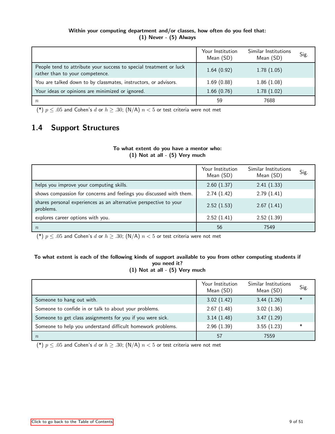### Within your computing department and/or classes, how often do you feel that: (1) Never - (5) Always

|                                                                                                       | Your Institution<br>Mean (SD) | Similar Institutions<br>Mean (SD) | Sig. |
|-------------------------------------------------------------------------------------------------------|-------------------------------|-----------------------------------|------|
| People tend to attribute your success to special treatment or luck<br>rather than to your competence. | 1.64(0.92)                    | 1.78(1.05)                        |      |
| You are talked down to by classmates, instructors, or advisors.                                       | 1.69(0.88)                    | 1.86(1.08)                        |      |
| Your ideas or opinions are minimized or ignored.                                                      | 1.66(0.76)                    | 1.78(1.02)                        |      |
| $\, n$                                                                                                | 59                            | 7688                              |      |

(\*)  $p \leq .05$  and Cohen's d or  $h \geq .30$ ; (N/A)  $n < 5$  or test criteria were not met

## <span id="page-8-0"></span>1.4 Support Structures

### To what extent do you have a mentor who: (1) Not at all - (5) Very much

|                                                                                | Your Institution<br>Mean (SD) | Similar Institutions<br>Mean (SD) | Sig. |
|--------------------------------------------------------------------------------|-------------------------------|-----------------------------------|------|
| helps you improve your computing skills.                                       | 2.60(1.37)                    | 2.41(1.33)                        |      |
| shows compassion for concerns and feelings you discussed with them.            | 2.74(1.42)                    | 2.79(1.41)                        |      |
| shares personal experiences as an alternative perspective to your<br>problems. | 2.52(1.53)                    | 2.67(1.41)                        |      |
| explores career options with you.                                              | 2.52(1.41)                    | 2.52(1.39)                        |      |
| $\boldsymbol{n}$                                                               | 56                            | 7549                              |      |

(\*)  $p \leq .05$  and Cohen's d or  $h \geq .30$ ; (N/A)  $n < 5$  or test criteria were not met

### To what extent is each of the following kinds of support available to you from other computing students if you need it? (1) Not at all - (5) Very much

|                                                             | Your Institution<br>Mean (SD) | Similar Institutions<br>Mean (SD) | Sig.   |
|-------------------------------------------------------------|-------------------------------|-----------------------------------|--------|
| Someone to hang out with.                                   | 3.02(1.42)                    | 3.44(1.26)                        | $\ast$ |
| Someone to confide in or talk to about your problems.       | 2.67(1.48)                    | 3.02(1.36)                        |        |
| Someone to get class assignments for you if you were sick.  | 3.14(1.48)                    | 3.47(1.29)                        |        |
| Someone to help you understand difficult homework problems. | 2.96(1.39)                    | 3.55(1.23)                        | $\ast$ |
| $\boldsymbol{n}$                                            | 57                            | 7559                              |        |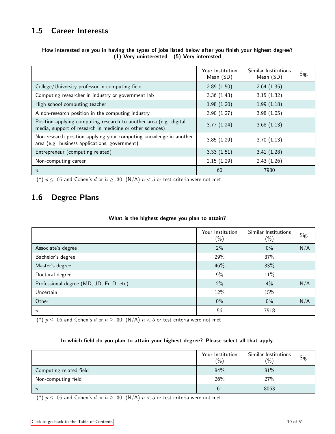## <span id="page-9-0"></span>1.5 Career Interests

|                                                                                                                                 | Your Institution<br>Mean (SD) | Similar Institutions<br>Mean (SD) | Sig. |
|---------------------------------------------------------------------------------------------------------------------------------|-------------------------------|-----------------------------------|------|
| College/University professor in computing field                                                                                 | 2.89(1.50)                    | 2.64(1.35)                        |      |
| Computing researcher in industry or government lab                                                                              | 3.36(1.43)                    | 3.15(1.32)                        |      |
| High school computing teacher                                                                                                   | 1.98(1.20)                    | 1.99(1.18)                        |      |
| A non-research position in the computing industry                                                                               | 3.90(1.27)                    | 3.98(1.05)                        |      |
| Position applying computing research to another area (e.g. digital<br>media, support of research in medicine or other sciences) | 3.77(1.24)                    | 3.68(1.13)                        |      |
| Non-research position applying your computing knowledge in another<br>area (e.g. business applications, government)             | 3.85(1.29)                    | 3.70(1.13)                        |      |
| Entrepreneur (computing related)                                                                                                | 3.33(1.51)                    | 3.41(1.28)                        |      |
| Non-computing career                                                                                                            | 2.15(1.29)                    | 2.43(1.26)                        |      |
| $\boldsymbol{n}$                                                                                                                | 60                            | 7980                              |      |

### How interested are you in having the types of jobs listed below after you finish your highest degree? (1) Very uninterested - (5) Very interested

(\*)  $p \leq .05$  and Cohen's d or  $h \geq .30$ ; (N/A)  $n < 5$  or test criteria were not met

## <span id="page-9-1"></span>1.6 Degree Plans

### What is the highest degree you plan to attain?

|                                         | Your Institution<br>$(\%)$ | Similar Institutions<br>$(\% )$ | Sig. |
|-----------------------------------------|----------------------------|---------------------------------|------|
| Associate's degree                      | 2%                         | $0\%$                           | N/A  |
| Bachelor's degree                       | 29%                        | 37%                             |      |
| Master's degree                         | 46%                        | 33%                             |      |
| Doctoral degree                         | 9%                         | 11%                             |      |
| Professional degree (MD, JD, Ed.D, etc) | 2%                         | 4%                              | N/A  |
| Uncertain                               | 12%                        | 15%                             |      |
| Other                                   | $0\%$                      | $0\%$                           | N/A  |
| $\boldsymbol{n}$                        | 56                         | 7518                            |      |

(\*)  $p \leq .05$  and Cohen's d or  $h \geq .30$ ; (N/A)  $n < 5$  or test criteria were not met

### In which field do you plan to attain your highest degree? Please select all that apply.

|                         | Your Institution<br>(0/0) | Similar Institutions<br>$\binom{0}{0}$ | Sig. |
|-------------------------|---------------------------|----------------------------------------|------|
| Computing related field | 84%                       | 81%                                    |      |
| Non-computing field     | 26%                       | 27%                                    |      |
| $\boldsymbol{n}$        | 61                        | 8063                                   |      |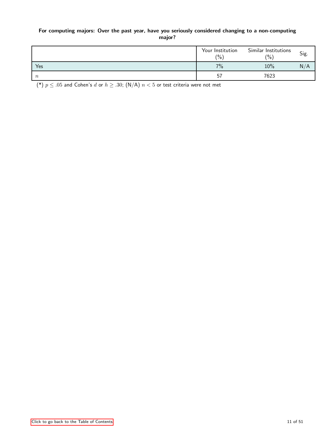### For computing majors: Over the past year, have you seriously considered changing to a non-computing major?

|                  | Your Institution<br>$(\% )$ | Similar Institutions<br>$\frac{10}{6}$ | Sig. |
|------------------|-----------------------------|----------------------------------------|------|
| Yes              | 7%                          | 10%                                    | N/A  |
| $\boldsymbol{n}$ | 57                          | 7623                                   |      |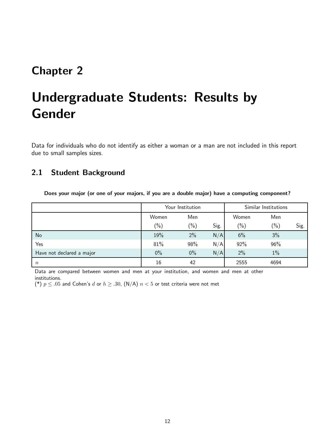## <span id="page-11-0"></span>Chapter 2

# Undergraduate Students: Results by Gender

Data for individuals who do not identify as either a woman or a man are not included in this report due to small samples sizes.

## <span id="page-11-1"></span>2.1 Student Background

|  |  |  | Does your major (or one of your majors, if you are a double major) have a computing component? |  |
|--|--|--|------------------------------------------------------------------------------------------------|--|
|  |  |  |                                                                                                |  |

|                           | Your Institution |                 |      | Similar Institutions |         |      |
|---------------------------|------------------|-----------------|------|----------------------|---------|------|
|                           | Women            | Men             |      | Women                | Men     |      |
|                           | $(\%)$           | $\frac{(0)}{0}$ | Sig. | $(\% )$              | $(\% )$ | Sig. |
| No                        | 19%              | 2%              | N/A  | 6%                   | 3%      |      |
| Yes                       | 81%              | 98%             | N/A  | 92%                  | 96%     |      |
| Have not declared a major | $0\%$            | $0\%$           | N/A  | 2%                   | $1\%$   |      |
| $\boldsymbol{n}$          | 16               | 42              |      | 2555                 | 4694    |      |

Data are compared between women and men at your institution, and women and men at other institutions.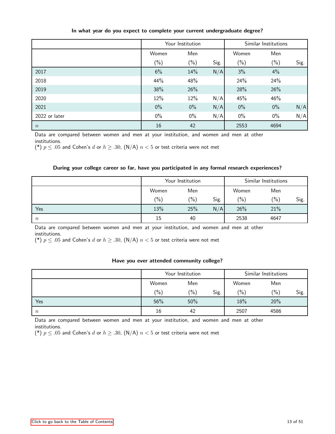|                  | Your Institution |        |      | Similar Institutions |        |      |
|------------------|------------------|--------|------|----------------------|--------|------|
|                  | Women            | Men    |      | Women                | Men    |      |
|                  | $(\%)$           | $(\%)$ | Sig. | $(\% )$              | $(\%)$ | Sig. |
| 2017             | 6%               | 14%    | N/A  | 3%                   | 4%     |      |
| 2018             | 44%              | 48%    |      | 24%                  | 24%    |      |
| 2019             | 38%              | 26%    |      | 28%                  | 26%    |      |
| 2020             | 12%              | 12%    | N/A  | 45%                  | 46%    |      |
| 2021             | $0\%$            | $0\%$  | N/A  | $0\%$                | $0\%$  | N/A  |
| 2022 or later    | $0\%$            | $0\%$  | N/A  | $0\%$                | $0\%$  | N/A  |
| $\boldsymbol{n}$ | 16               | 42     |      | 2553                 | 4694   |      |

### In what year do you expect to complete your current undergraduate degree?

Data are compared between women and men at your institution, and women and men at other institutions.

(\*)  $p \leq .05$  and Cohen's d or  $h \geq .30$ , (N/A)  $n < 5$  or test criteria were not met

### During your college career so far, have you participated in any formal research experiences?

|                  | Your Institution |         |      | Similar Institutions |         |      |
|------------------|------------------|---------|------|----------------------|---------|------|
|                  | Women            | Men     |      | Women                | Men     |      |
|                  | $(\% )$          | $(\% )$ | Sig. | $(\% )$              | $(\% )$ | Sig. |
| Yes              | 13%              | 25%     | N/A  | 26%                  | 21%     |      |
| $\boldsymbol{n}$ | 15               | 40      |      | 2538                 | 4647    |      |

Data are compared between women and men at your institution, and women and men at other institutions.

(\*)  $p \leq .05$  and Cohen's d or  $h \geq .30$ , (N/A)  $n < 5$  or test criteria were not met

### Have you ever attended community college?

|                  | Your Institution |                 |      | Similar Institutions |         |      |
|------------------|------------------|-----------------|------|----------------------|---------|------|
|                  | Women            | Men             |      | Women                | Men     |      |
|                  | $\binom{0}{0}$   | $\frac{(0)}{0}$ | Sig. | (9/0)                | $(\% )$ | Sig. |
| Yes              | 56%              | 50%             |      | 18%                  | 20%     |      |
| $\boldsymbol{n}$ | 16               | 42              |      | 2507                 | 4586    |      |

Data are compared between women and men at your institution, and women and men at other institutions.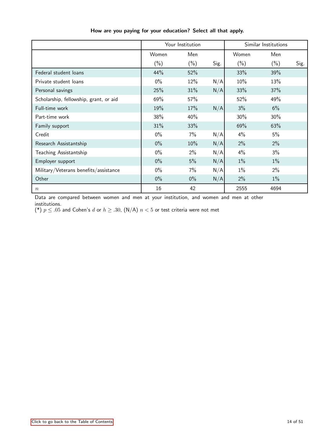|                                        | Your Institution |         |      | Similar Institutions |         |      |
|----------------------------------------|------------------|---------|------|----------------------|---------|------|
|                                        | Women            | Men     |      | Women                | Men     |      |
|                                        | $(\% )$          | $(\% )$ | Sig. | $(\% )$              | $(\% )$ | Sig. |
| Federal student loans                  | 44%              | 52%     |      | 33%                  | 39%     |      |
| Private student loans                  | $0\%$            | 12%     | N/A  | 10%                  | 13%     |      |
| Personal savings                       | 25%              | 31%     | N/A  | 33%                  | 37%     |      |
| Scholarship, fellowship, grant, or aid | 69%              | 57%     |      | 52%                  | 49%     |      |
| Full-time work                         | 19%              | 17%     | N/A  | 3%                   | 6%      |      |
| Part-time work                         | 38%              | 40%     |      | 30%                  | 30%     |      |
| Family support                         | 31%              | 33%     |      | 69%                  | 63%     |      |
| Credit                                 | $0\%$            | 7%      | N/A  | 4%                   | 5%      |      |
| Research Assistantship                 | $0\%$            | 10%     | N/A  | 2%                   | 2%      |      |
| Teaching Assistantship                 | $0\%$            | $2\%$   | N/A  | 4%                   | 3%      |      |
| Employer support                       | $0\%$            | 5%      | N/A  | 1%                   | $1\%$   |      |
| Military/Veterans benefits/assistance  | $0\%$            | 7%      | N/A  | $1\%$                | 2%      |      |
| Other                                  | $0\%$            | $0\%$   | N/A  | 2%                   | $1\%$   |      |
| $\boldsymbol{n}$                       | 16               | 42      |      | 2555                 | 4694    |      |

How are you paying for your education? Select all that apply.

Data are compared between women and men at your institution, and women and men at other institutions.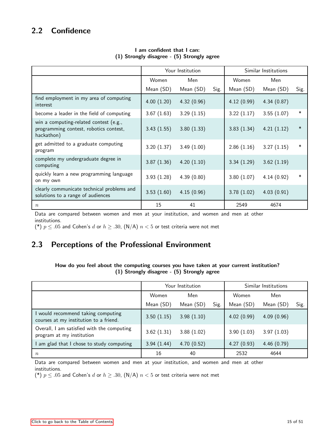## <span id="page-14-0"></span>2.2 Confidence

|                                                                                                |            | Your Institution | Similar Institutions |            |            |        |
|------------------------------------------------------------------------------------------------|------------|------------------|----------------------|------------|------------|--------|
|                                                                                                | Women      | Men              |                      | Women      | Men        |        |
|                                                                                                | Mean (SD)  | Mean (SD)        | Sig.                 | Mean (SD)  | Mean (SD)  | Sig.   |
| find employment in my area of computing<br>interest                                            | 4.00(1.20) | 4.32(0.96)       |                      | 4.12(0.99) | 4.34(0.87) |        |
| become a leader in the field of computing                                                      | 3.67(1.63) | 3.29(1.15)       |                      | 3.22(1.17) | 3.55(1.07) | $\ast$ |
| win a computing-related contest (e.g.,<br>programming contest, robotics contest,<br>hackathon) | 3.43(1.55) | 3.80(1.33)       |                      | 3.83(1.34) | 4.21(1.12) | $\ast$ |
| get admitted to a graduate computing<br>program                                                | 3.20(1.37) | 3.49(1.00)       |                      | 2.86(1.16) | 3.27(1.15) | $\ast$ |
| complete my undergraduate degree in<br>computing                                               | 3.87(1.36) | 4.20(1.10)       |                      | 3.34(1.29) | 3.62(1.19) |        |
| quickly learn a new programming language<br>on my own                                          | 3.93(1.28) | 4.39(0.80)       |                      | 3.80(1.07) | 4.14(0.92) | $\ast$ |
| clearly communicate technical problems and<br>solutions to a range of audiences                | 3.53(1.60) | 4.15(0.96)       |                      | 3.78(1.02) | 4.03(0.91) |        |
| $\,n$                                                                                          | 15         | 41               |                      | 2549       | 4674       |        |

### I am confident that I can: (1) Strongly disagree - (5) Strongly agree

Data are compared between women and men at your institution, and women and men at other institutions.

(\*)  $p \leq .05$  and Cohen's d or  $h \geq .30$ , (N/A)  $n < 5$  or test criteria were not met

## <span id="page-14-1"></span>2.3 Perceptions of the Professional Environment

### How do you feel about the computing courses you have taken at your current institution? (1) Strongly disagree - (5) Strongly agree

|                                                                              |            | Your Institution | Similar Institutions |            |            |      |
|------------------------------------------------------------------------------|------------|------------------|----------------------|------------|------------|------|
|                                                                              | Women      | Men              |                      | Women      | Men        |      |
|                                                                              | Mean (SD)  | Mean (SD)        | Sig.                 | Mean (SD)  | Mean (SD)  | Sig. |
| I would recommend taking computing<br>courses at my institution to a friend. | 3.50(1.15) | 3.98(1.10)       |                      | 4.02(0.99) | 4.09(0.96) |      |
| Overall, I am satisfied with the computing<br>program at my institution      | 3.62(1.31) | 3.88(1.02)       |                      | 3.90(1.03) | 3.97(1.03) |      |
| I am glad that I chose to study computing                                    | 3.94(1.44) | 4.70(0.52)       |                      | 4.27(0.93) | 4.46(0.79) |      |
| $\boldsymbol{n}$                                                             | 16         | 40               |                      | 2532       | 4644       |      |

Data are compared between women and men at your institution, and women and men at other institutions.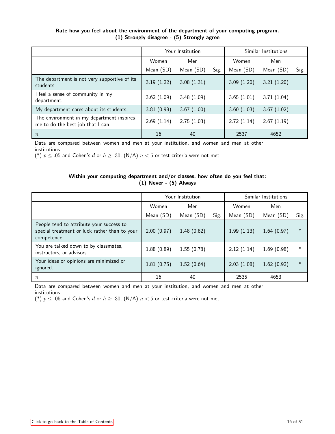|                                                                                |            | Your Institution | Similar Institutions |            |            |      |
|--------------------------------------------------------------------------------|------------|------------------|----------------------|------------|------------|------|
|                                                                                | Women      | Men              |                      | Women      | Men        |      |
|                                                                                | Mean (SD)  | Mean (SD)        | Sig.                 | Mean (SD)  | Mean (SD)  | Sig. |
| The department is not very supportive of its<br>students                       | 3.19(1.22) | 3.08(1.31)       |                      | 3.09(1.20) | 3.21(1.20) |      |
| I feel a sense of community in my<br>department.                               | 3.62(1.09) | 3.48(1.09)       |                      | 3.65(1.01) | 3.71(1.04) |      |
| My department cares about its students.                                        | 3.81(0.98) | 3.67(1.00)       |                      | 3.60(1.03) | 3.67(1.02) |      |
| The environment in my department inspires<br>me to do the best job that I can. | 2.69(1.14) | 2.75(1.03)       |                      | 2.72(1.14) | 2.67(1.19) |      |
| $\boldsymbol{n}$                                                               | 16         | 40               |                      | 2537       | 4652       |      |

### Rate how you feel about the environment of the department of your computing program. (1) Strongly disagree - (5) Strongly agree

Data are compared between women and men at your institution, and women and men at other institutions.

(\*)  $p \leq .05$  and Cohen's d or  $h \geq .30$ , (N/A)  $n < 5$  or test criteria were not met

### Within your computing department and/or classes, how often do you feel that: (1) Never - (5) Always

|                                                                                                          |            | Your Institution | Similar Institutions |            |            |        |
|----------------------------------------------------------------------------------------------------------|------------|------------------|----------------------|------------|------------|--------|
|                                                                                                          | Women      | Men              |                      | Women      | Men        |        |
|                                                                                                          | Mean (SD)  | Mean (SD)        | Sig.                 | Mean (SD)  | Mean (SD)  | Sig.   |
| People tend to attribute your success to<br>special treatment or luck rather than to your<br>competence. | 2.00(0.97) | 1.48(0.82)       |                      | 1.99(1.13) | 1.64(0.97) | $\ast$ |
| You are talked down to by classmates,<br>instructors, or advisors.                                       | 1.88(0.89) | 1.55(0.78)       |                      | 2.12(1.14) | 1.69(0.98) | $\ast$ |
| Your ideas or opinions are minimized or<br>ignored.                                                      | 1.81(0.75) | 1.52(0.64)       |                      | 2.03(1.08) | 1.62(0.92) | $\ast$ |
| $\boldsymbol{n}$                                                                                         | 16         | 40               |                      | 2535       | 4653       |        |

Data are compared between women and men at your institution, and women and men at other institutions.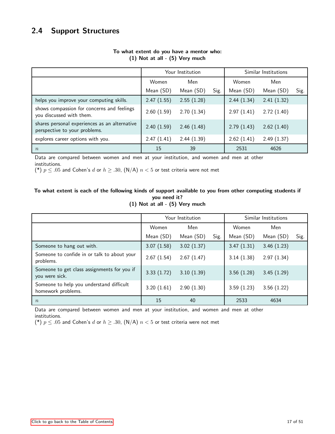<span id="page-16-0"></span>

|                                                                                |            | Your Institution | Similar Institutions |            |            |      |
|--------------------------------------------------------------------------------|------------|------------------|----------------------|------------|------------|------|
|                                                                                | Women      | Men              |                      | Women      | Men        |      |
|                                                                                | Mean (SD)  | Mean (SD)        | Sig.                 | Mean (SD)  | Mean (SD)  | Sig. |
| helps you improve your computing skills.                                       | 2.47(1.55) | 2.55(1.28)       |                      | 2.44(1.34) | 2.41(1.32) |      |
| shows compassion for concerns and feelings<br>you discussed with them.         | 2.60(1.59) | 2.70(1.34)       |                      | 2.97(1.41) | 2.72(1.40) |      |
| shares personal experiences as an alternative<br>perspective to your problems. | 2.40(1.59) | 2.46(1.48)       |                      | 2.79(1.43) | 2.62(1.40) |      |
| explores career options with you.                                              | 2.47(1.41) | 2.44(1.39)       |                      | 2.62(1.41) | 2.49(1.37) |      |
| $\boldsymbol{n}$                                                               | 15         | 39               |                      | 2531       | 4626       |      |

### To what extent do you have a mentor who: (1) Not at all - (5) Very much

Data are compared between women and men at your institution, and women and men at other institutions.

(\*)  $p \leq .05$  and Cohen's d or  $h \geq .30$ , (N/A)  $n < 5$  or test criteria were not met

### To what extent is each of the following kinds of support available to you from other computing students if you need it?

|  |  |  | (1) Not at all - (5) Very much |
|--|--|--|--------------------------------|
|  |  |  |                                |

|                                                                | Your Institution |            |      | Similar Institutions |            |      |
|----------------------------------------------------------------|------------------|------------|------|----------------------|------------|------|
|                                                                | Women            | Men        |      | Women                | Men        |      |
|                                                                | Mean (SD)        | Mean (SD)  | Sig. | Mean (SD)            | Mean (SD)  | Sig. |
| Someone to hang out with.                                      | 3.07(1.58)       | 3.02(1.37) |      | 3.47(1.31)           | 3.46(1.23) |      |
| Someone to confide in or talk to about your<br>problems.       | 2.67(1.54)       | 2.67(1.47) |      | 3.14(1.38)           | 2.97(1.34) |      |
| Someone to get class assignments for you if<br>you were sick.  | 3.33(1.72)       | 3.10(1.39) |      | 3.56(1.28)           | 3.45(1.29) |      |
| Someone to help you understand difficult<br>homework problems. | 3.20(1.61)       | 2.90(1.30) |      | 3.59(1.23)           | 3.56(1.22) |      |
| $\boldsymbol{n}$                                               | 15               | 40         |      | 2533                 | 4634       |      |

Data are compared between women and men at your institution, and women and men at other institutions.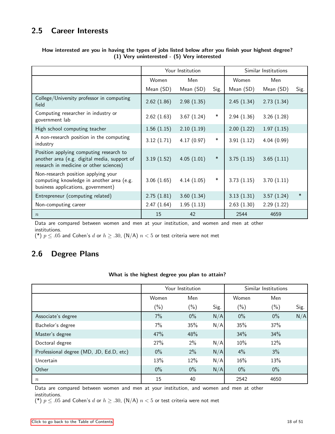## <span id="page-17-0"></span>2.5 Career Interests

|                                                                                                                                    |            | Your Institution |        |            | Similar Institutions |        |
|------------------------------------------------------------------------------------------------------------------------------------|------------|------------------|--------|------------|----------------------|--------|
|                                                                                                                                    | Women      | Men              |        | Women      | Men                  |        |
|                                                                                                                                    | Mean (SD)  | Mean (SD)        | Sig.   | Mean (SD)  | Mean (SD)            | Sig.   |
| College/University professor in computing<br>field                                                                                 | 2.62(1.86) | 2.98(1.35)       |        | 2.45(1.34) | 2.73(1.34)           |        |
| Computing researcher in industry or<br>government lab                                                                              | 2.62(1.63) | 3.67(1.24)       | $\ast$ | 2.94(1.36) | 3.26(1.28)           |        |
| High school computing teacher                                                                                                      | 1.56(1.15) | 2.10(1.19)       |        | 2.00(1.22) | 1.97(1.15)           |        |
| A non-research position in the computing<br>industry                                                                               | 3.12(1.71) | 4.17(0.97)       | $\ast$ | 3.91(1.12) | 4.04(0.99)           |        |
| Position applying computing research to<br>another area (e.g. digital media, support of<br>research in medicine or other sciences) | 3.19(1.52) | 4.05(1.01)       | $\ast$ | 3.75(1.15) | 3.65(1.11)           |        |
| Non-research position applying your<br>computing knowledge in another area (e.g.<br>business applications, government)             | 3.06(1.65) | 4.14(1.05)       | $\ast$ | 3.73(1.15) | 3.70(1.11)           |        |
| Entrepreneur (computing related)                                                                                                   | 2.75(1.81) | 3.60(1.34)       |        | 3.13(1.31) | 3.57(1.24)           | $\ast$ |
| Non-computing career                                                                                                               | 2.47(1.64) | 1.95(1.13)       |        | 2.63(1.30) | 2.29(1.22)           |        |
| $\boldsymbol{n}$                                                                                                                   | 15         | 42               |        | 2544       | 4659                 |        |

### How interested are you in having the types of jobs listed below after you finish your highest degree? (1) Very uninterested - (5) Very interested

Data are compared between women and men at your institution, and women and men at other institutions.

(\*)  $p \leq .05$  and Cohen's d or  $h \geq .30$ , (N/A)  $n < 5$  or test criteria were not met

## <span id="page-17-1"></span>2.6 Degree Plans

### What is the highest degree you plan to attain?

|                                         | Your Institution |        |      | Similar Institutions |         |      |
|-----------------------------------------|------------------|--------|------|----------------------|---------|------|
|                                         | Women            | Men    |      | Women                | Men     |      |
|                                         | $(\%)$           | $(\%)$ | Sig. | $(\% )$              | $(\% )$ | Sig. |
| Associate's degree                      | $7\%$            | $0\%$  | N/A  | $0\%$                | $0\%$   | N/A  |
| Bachelor's degree                       | 7%               | 35%    | N/A  | 35%                  | 37%     |      |
| Master's degree                         | 47%              | 48%    |      | 34%                  | 34%     |      |
| Doctoral degree                         | 27%              | 2%     | N/A  | 10%                  | 12%     |      |
| Professional degree (MD, JD, Ed.D, etc) | $0\%$            | 2%     | N/A  | 4%                   | 3%      |      |
| Uncertain                               | 13%              | 12%    | N/A  | 16%                  | 13%     |      |
| Other                                   | $0\%$            | $0\%$  | N/A  | $0\%$                | $0\%$   |      |
| $\boldsymbol{n}$                        | 15               | 40     |      | 2542                 | 4650    |      |

Data are compared between women and men at your institution, and women and men at other institutions.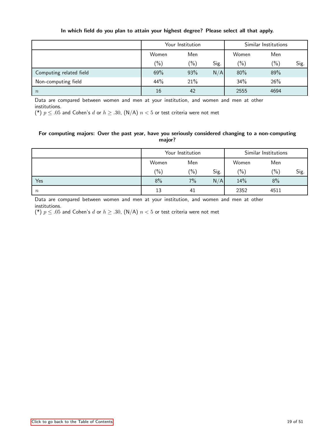|                         | Your Institution |                 |      | Similar Institutions |               |      |
|-------------------------|------------------|-----------------|------|----------------------|---------------|------|
|                         | Women            | Men             |      | Women                | Men           |      |
|                         | $(\% )$          | $\frac{(0)}{0}$ | Sig. | (0/0)                | $\frac{6}{2}$ | Sig. |
| Computing related field | 69%              | 93%             | N/A  | 80%                  | 89%           |      |
| Non-computing field     | 44%              | 21%             |      | 34%                  | 26%           |      |
| $\boldsymbol{n}$        | 16               | 42              |      | 2555                 | 4694          |      |

### In which field do you plan to attain your highest degree? Please select all that apply.

Data are compared between women and men at your institution, and women and men at other institutions.

(\*)  $p \leq .05$  and Cohen's d or  $h \geq .30$ , (N/A)  $n < 5$  or test criteria were not met

### For computing majors: Over the past year, have you seriously considered changing to a non-computing major?

|                  | Your Institution |               |      | Similar Institutions |         |      |
|------------------|------------------|---------------|------|----------------------|---------|------|
|                  | Women            | Men           |      | Women                | Men     |      |
|                  | $\binom{0}{0}$   | $\frac{1}{2}$ | Sig. | (0/0)                | $(\% )$ | Sig. |
| Yes              | 8%               | 7%            | N/A  | 14%                  | 8%      |      |
| $\boldsymbol{n}$ | 13               | 41            |      | 2352                 | 4511    |      |

Data are compared between women and men at your institution, and women and men at other institutions.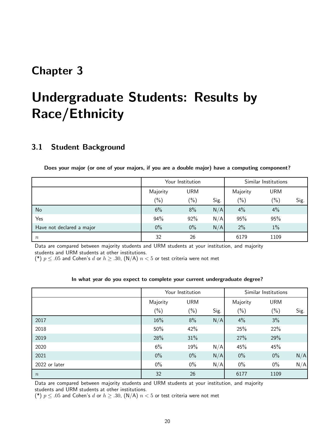## <span id="page-19-0"></span>Chapter 3

# Undergraduate Students: Results by Race/Ethnicity

### <span id="page-19-1"></span>3.1 Student Background

|                           | Your Institution |               |      | Similar Institutions |            |      |
|---------------------------|------------------|---------------|------|----------------------|------------|------|
|                           | Majority         | URM           |      | Majority             | <b>URM</b> |      |
|                           | $(\% )$          | $\frac{1}{2}$ | Sig. | $(\% )$              | $(\% )$    | Sig. |
| No                        | 6%               | 8%            | N/A  | 4%                   | 4%         |      |
| Yes                       | 94%              | 92%           | N/A  | 95%                  | 95%        |      |
| Have not declared a major | $0\%$            | $0\%$         | N/A  | 2%                   | $1\%$      |      |
| $\, n$                    | 32               | 26            |      | 6179                 | 1109       |      |

Data are compared between majority students and URM students at your institution, and majority students and URM students at other institutions.

(\*)  $p \leq .05$  and Cohen's d or  $h \geq .30$ , (N/A)  $n < 5$  or test criteria were not met

#### In what year do you expect to complete your current undergraduate degree?

|                  | Your Institution |            |      | Similar Institutions |            |      |
|------------------|------------------|------------|------|----------------------|------------|------|
|                  | Majority         | <b>URM</b> |      | Majority             | <b>URM</b> |      |
|                  | $(\%)$           | $(\%)$     | Sig. | $(\% )$              | $(\% )$    | Sig. |
| 2017             | 16%              | 8%         | N/A  | 4%                   | 3%         |      |
| 2018             | 50%              | 42%        |      | 25%                  | 22%        |      |
| 2019             | 28%              | 31%        |      | 27%                  | 29%        |      |
| 2020             | 6%               | 19%        | N/A  | 45%                  | 45%        |      |
| 2021             | $0\%$            | $0\%$      | N/A  | $0\%$                | $0\%$      | N/A  |
| 2022 or later    | $0\%$            | $0\%$      | N/A  | $0\%$                | $0\%$      | N/A  |
| $\boldsymbol{n}$ | 32               | 26         |      | 6177                 | 1109       |      |

Data are compared between majority students and URM students at your institution, and majority students and URM students at other institutions.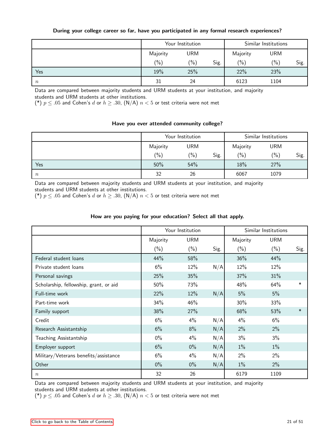|        |          | Your Institution | Similar Institutions |          |         |      |
|--------|----------|------------------|----------------------|----------|---------|------|
|        | Majority | URM              |                      | Majority | URM     |      |
|        | $(\% )$  | $\frac{(0)}{0}$  | Sig.                 | $(\% )$  | $(\% )$ | Sig. |
| Yes    | 19%      | 25%              |                      | 22%      | 23%     |      |
| $\, n$ | 31       | 24               |                      | 6123     | 1104    |      |

### During your college career so far, have you participated in any formal research experiences?

Data are compared between majority students and URM students at your institution, and majority students and URM students at other institutions.

(\*)  $p \leq .05$  and Cohen's d or  $h \geq .30$ , (N/A)  $n < 5$  or test criteria were not met

### Have you ever attended community college?

|                  |                 | Your Institution |      | Similar Institutions |         |      |
|------------------|-----------------|------------------|------|----------------------|---------|------|
|                  | Majority        | URM              |      | Majority             | URM     |      |
|                  | $\frac{(0)}{0}$ | $\frac{9}{6}$    | Sig. | (0/0)                | $(\% )$ | Sig. |
| Yes              | 50%             | 54%              |      | 18%                  | 27%     |      |
| $\boldsymbol{n}$ | 32              | 26               |      | 6067                 | 1079    |      |

Data are compared between majority students and URM students at your institution, and majority students and URM students at other institutions.

(\*)  $p \leq .05$  and Cohen's d or  $h \geq .30$ , (N/A)  $n < 5$  or test criteria were not met

### How are you paying for your education? Select all that apply.

|                                        |          | Your Institution |      |          | Similar Institutions |        |
|----------------------------------------|----------|------------------|------|----------|----------------------|--------|
|                                        | Majority | <b>URM</b>       |      | Majority | <b>URM</b>           |        |
|                                        | $(\% )$  | $(\% )$          | Sig. | $(\% )$  | $(\% )$              | Sig.   |
| Federal student loans                  | 44%      | 58%              |      | 36%      | 44%                  |        |
| Private student loans                  | 6%       | 12%              | N/A  | 12%      | 12%                  |        |
| Personal savings                       | 25%      | 35%              |      | 37%      | 31%                  |        |
| Scholarship, fellowship, grant, or aid | 50%      | 73%              |      | 48%      | 64%                  | $\ast$ |
| Full-time work                         | 22%      | 12%              | N/A  | 5%       | 5%                   |        |
| Part-time work                         | 34%      | 46%              |      | 30%      | 33%                  |        |
| Family support                         | 38%      | 27%              |      | 68%      | 53%                  | $\ast$ |
| Credit                                 | 6%       | 4%               | N/A  | 4%       | 6%                   |        |
| Research Assistantship                 | 6%       | 8%               | N/A  | 2%       | 2%                   |        |
| Teaching Assistantship                 | $0\%$    | $4\%$            | N/A  | 3%       | 3%                   |        |
| Employer support                       | 6%       | $0\%$            | N/A  | $1\%$    | $1\%$                |        |
| Military/Veterans benefits/assistance  | 6%       | $4\%$            | N/A  | 2%       | 2%                   |        |
| Other                                  | $0\%$    | $0\%$            | N/A  | $1\%$    | 2%                   |        |
| $\,n$                                  | 32       | 26               |      | 6179     | 1109                 |        |

Data are compared between majority students and URM students at your institution, and majority students and URM students at other institutions.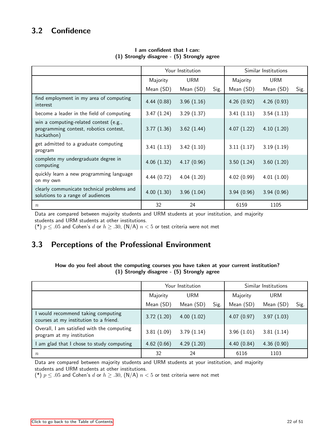## <span id="page-21-0"></span>3.2 Confidence

|                                                                                                |                 | Your Institution | Similar Institutions |            |            |      |
|------------------------------------------------------------------------------------------------|-----------------|------------------|----------------------|------------|------------|------|
|                                                                                                | URM<br>Majority |                  | Majority             | URM        |            |      |
|                                                                                                | Mean (SD)       | Mean (SD)        | Sig.                 | Mean (SD)  | Mean (SD)  | Sig. |
| find employment in my area of computing<br>interest                                            | 4.44(0.88)      | 3.96(1.16)       |                      | 4.26(0.92) | 4.26(0.93) |      |
| become a leader in the field of computing                                                      | 3.47(1.24)      | 3.29(1.37)       |                      | 3.41(1.11) | 3.54(1.13) |      |
| win a computing-related contest (e.g.,<br>programming contest, robotics contest,<br>hackathon) | 3.77(1.36)      | 3.62(1.44)       |                      | 4.07(1.22) | 4.10(1.20) |      |
| get admitted to a graduate computing<br>program                                                | 3.41(1.13)      | 3.42(1.10)       |                      | 3.11(1.17) | 3.19(1.19) |      |
| complete my undergraduate degree in<br>computing                                               | 4.06(1.32)      | 4.17(0.96)       |                      | 3.50(1.24) | 3.60(1.20) |      |
| quickly learn a new programming language<br>on my own                                          | 4.44(0.72)      | 4.04(1.20)       |                      | 4.02(0.99) | 4.01(1.00) |      |
| clearly communicate technical problems and<br>solutions to a range of audiences                | 4.00(1.30)      | 3.96(1.04)       |                      | 3.94(0.96) | 3.94(0.96) |      |
| $\, n$                                                                                         | 32              | 24               |                      | 6159       | 1105       |      |

### I am confident that I can: (1) Strongly disagree - (5) Strongly agree

Data are compared between majority students and URM students at your institution, and majority students and URM students at other institutions.

(\*)  $p \leq .05$  and Cohen's d or  $h \geq .30$ , (N/A)  $n < 5$  or test criteria were not met

## <span id="page-21-1"></span>3.3 Perceptions of the Professional Environment

### How do you feel about the computing courses you have taken at your current institution? (1) Strongly disagree - (5) Strongly agree

|                                                                              |            | Your Institution | Similar Institutions |            |            |      |
|------------------------------------------------------------------------------|------------|------------------|----------------------|------------|------------|------|
|                                                                              | Majority   | <b>URM</b>       |                      | Majority   | <b>URM</b> |      |
|                                                                              | Mean (SD)  | Mean (SD)        | Sig.                 | Mean (SD)  | Mean (SD)  | Sig. |
| I would recommend taking computing<br>courses at my institution to a friend. | 3.72(1.20) | 4.00(1.02)       |                      | 4.07(0.97) | 3.97(1.03) |      |
| Overall, I am satisfied with the computing<br>program at my institution      | 3.81(1.09) | 3.79(1.14)       |                      | 3.96(1.01) | 3.81(1.14) |      |
| I am glad that I chose to study computing                                    | 4.62(0.66) | 4.29(1.20)       |                      | 4.40(0.84) | 4.36(0.90) |      |
| $\boldsymbol{n}$                                                             | 32         | 24               |                      | 6116       | 1103       |      |

Data are compared between majority students and URM students at your institution, and majority students and URM students at other institutions.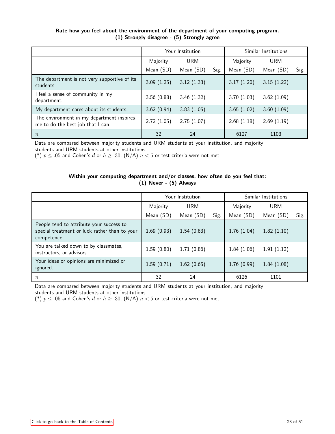|                                                                                |            | Your Institution |      | Similar Institutions |            |      |
|--------------------------------------------------------------------------------|------------|------------------|------|----------------------|------------|------|
|                                                                                | Majority   | <b>URM</b>       |      | Majority             | <b>URM</b> |      |
|                                                                                | Mean (SD)  | Mean (SD)        | Sig. | Mean (SD)            | Mean (SD)  | Sig. |
| The department is not very supportive of its<br>students                       | 3.09(1.25) | 3.12(1.33)       |      | 3.17(1.20)           | 3.15(1.22) |      |
| feel a sense of community in my<br>department.                                 | 3.56(0.88) | 3.46(1.32)       |      | 3.70(1.03)           | 3.62(1.09) |      |
| My department cares about its students.                                        | 3.62(0.94) | 3.83(1.05)       |      | 3.65(1.02)           | 3.60(1.09) |      |
| The environment in my department inspires<br>me to do the best job that I can. | 2.72(1.05) | 2.75(1.07)       |      | 2.68(1.18)           | 2.69(1.19) |      |
| $\boldsymbol{n}$                                                               | 32         | 24               |      | 6127                 | 1103       |      |

### Rate how you feel about the environment of the department of your computing program. (1) Strongly disagree - (5) Strongly agree

Data are compared between majority students and URM students at your institution, and majority students and URM students at other institutions.

(\*)  $p \leq .05$  and Cohen's d or  $h \geq .30$ , (N/A)  $n < 5$  or test criteria were not met

### Within your computing department and/or classes, how often do you feel that: (1) Never - (5) Always

|                                                                                                          |            | Your Institution | Similar Institutions |            |            |      |
|----------------------------------------------------------------------------------------------------------|------------|------------------|----------------------|------------|------------|------|
|                                                                                                          | Majority   | <b>URM</b>       |                      | Majority   | <b>URM</b> |      |
|                                                                                                          | Mean (SD)  | Mean (SD)        | Sig.                 | Mean (SD)  | Mean (SD)  | Sig. |
| People tend to attribute your success to<br>special treatment or luck rather than to your<br>competence. | 1.69(0.93) | 1.54(0.83)       |                      | 1.76(1.04) | 1.82(1.10) |      |
| You are talked down to by classmates,<br>instructors, or advisors.                                       | 1.59(0.80) | 1.71(0.86)       |                      | 1.84(1.06) | 1.91(1.12) |      |
| Your ideas or opinions are minimized or<br>ignored.                                                      | 1.59(0.71) | 1.62(0.65)       |                      | 1.76(0.99) | 1.84(1.08) |      |
| $\boldsymbol{n}$                                                                                         | 32         | 24               |                      | 6126       | 1101       |      |

Data are compared between majority students and URM students at your institution, and majority students and URM students at other institutions.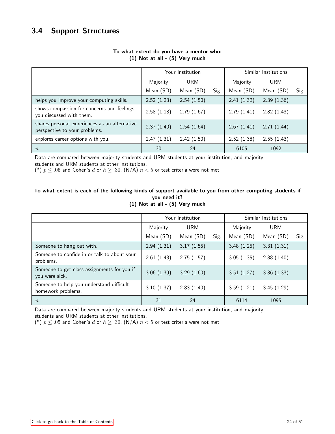<span id="page-23-0"></span>

|                                                                                |            | Your Institution | Similar Institutions |            |            |      |
|--------------------------------------------------------------------------------|------------|------------------|----------------------|------------|------------|------|
|                                                                                | Majority   | <b>URM</b>       |                      | Majority   | <b>URM</b> |      |
|                                                                                | Mean (SD)  | Mean (SD)        | Sig.                 | Mean (SD)  | Mean (SD)  | Sig. |
| helps you improve your computing skills.                                       | 2.52(1.23) | 2.54(1.50)       |                      | 2.41(1.32) | 2.39(1.36) |      |
| shows compassion for concerns and feelings<br>you discussed with them.         | 2.58(1.18) | 2.79(1.67)       |                      | 2.79(1.41) | 2.82(1.43) |      |
| shares personal experiences as an alternative<br>perspective to your problems. | 2.37(1.40) | 2.54(1.64)       |                      | 2.67(1.41) | 2.71(1.44) |      |
| explores career options with you.                                              | 2.47(1.31) | 2.42(1.50)       |                      | 2.52(1.38) | 2.55(1.43) |      |
| $\boldsymbol{n}$                                                               | 30         | 24               |                      | 6105       | 1092       |      |

### To what extent do you have a mentor who: (1) Not at all - (5) Very much

Data are compared between majority students and URM students at your institution, and majority

students and URM students at other institutions.

(\*)  $p \leq .05$  and Cohen's d or  $h \geq .30$ , (N/A)  $n < 5$  or test criteria were not met

### To what extent is each of the following kinds of support available to you from other computing students if you need it?

|  |  |  | (1) Not at all - (5) Very much |
|--|--|--|--------------------------------|

|                                                                |            | Your Institution | Similar Institutions |            |            |      |
|----------------------------------------------------------------|------------|------------------|----------------------|------------|------------|------|
|                                                                | Majority   | <b>URM</b>       |                      | Majority   | <b>URM</b> |      |
|                                                                | Mean (SD)  | Mean (SD)        | Sig.                 | Mean (SD)  | Mean (SD)  | Sig. |
| Someone to hang out with.                                      | 2.94(1.31) | 3.17(1.55)       |                      | 3.48(1.25) | 3.31(1.31) |      |
| Someone to confide in or talk to about your<br>problems.       | 2.61(1.43) | 2.75(1.57)       |                      | 3.05(1.35) | 2.88(1.40) |      |
| Someone to get class assignments for you if<br>you were sick.  | 3.06(1.39) | 3.29(1.60)       |                      | 3.51(1.27) | 3.36(1.33) |      |
| Someone to help you understand difficult<br>homework problems. | 3.10(1.37) | 2.83(1.40)       |                      | 3.59(1.21) | 3.45(1.29) |      |
| $\boldsymbol{n}$                                               | 31         | 24               |                      | 6114       | 1095       |      |

Data are compared between majority students and URM students at your institution, and majority students and URM students at other institutions.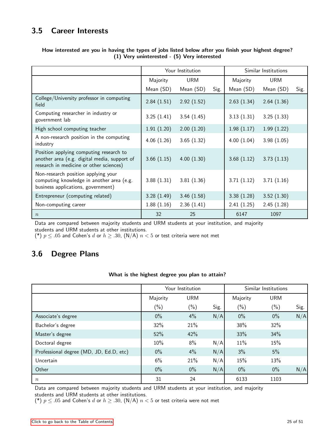## <span id="page-24-0"></span>3.5 Career Interests

|                                                                                                                                    |            | Your Institution |      |            | Similar Institutions |      |
|------------------------------------------------------------------------------------------------------------------------------------|------------|------------------|------|------------|----------------------|------|
|                                                                                                                                    | Majority   | <b>URM</b>       |      | Majority   | <b>URM</b>           |      |
|                                                                                                                                    | Mean (SD)  | Mean (SD)        | Sig. | Mean (SD)  | Mean (SD)            | Sig. |
| College/University professor in computing<br>field                                                                                 | 2.84(1.51) | 2.92(1.52)       |      | 2.63(1.34) | 2.64(1.36)           |      |
| Computing researcher in industry or<br>government lab                                                                              | 3.25(1.41) | 3.54(1.45)       |      | 3.13(1.31) | 3.25(1.33)           |      |
| High school computing teacher                                                                                                      | 1.91(1.20) | 2.00(1.20)       |      | 1.98(1.17) | 1.99(1.22)           |      |
| A non-research position in the computing<br>industry                                                                               | 4.06(1.26) | 3.65(1.32)       |      | 4.00(1.04) | 3.98(1.05)           |      |
| Position applying computing research to<br>another area (e.g. digital media, support of<br>research in medicine or other sciences) | 3.66(1.15) | 4.00(1.30)       |      | 3.68(1.12) | 3.73(1.13)           |      |
| Non-research position applying your<br>computing knowledge in another area (e.g.<br>business applications, government)             | 3.88(1.31) | 3.81(1.36)       |      | 3.71(1.12) | 3.71(1.16)           |      |
| Entrepreneur (computing related)                                                                                                   | 3.28(1.49) | 3.46(1.58)       |      | 3.38(1.28) | 3.52(1.30)           |      |
| Non-computing career                                                                                                               | 1.88(1.16) | 2.36(1.41)       |      | 2.41(1.25) | 2.45(1.28)           |      |
| $\boldsymbol{n}$                                                                                                                   | 32         | 25               |      | 6147       | 1097                 |      |

### How interested are you in having the types of jobs listed below after you finish your highest degree? (1) Very uninterested - (5) Very interested

Data are compared between majority students and URM students at your institution, and majority students and URM students at other institutions.

(\*)  $p \leq .05$  and Cohen's d or  $h \geq .30$ , (N/A)  $n < 5$  or test criteria were not met

## <span id="page-24-1"></span>3.6 Degree Plans

### What is the highest degree you plan to attain?

|                                         | Your Institution |            | Similar Institutions |          |            |      |
|-----------------------------------------|------------------|------------|----------------------|----------|------------|------|
|                                         | Majority         | <b>URM</b> |                      | Majority | <b>URM</b> |      |
|                                         | $(\%)$           | $(\%)$     | Sig.                 | $(\%)$   | $(\% )$    | Sig. |
| Associate's degree                      | $0\%$            | 4%         | N/A                  | $0\%$    | $0\%$      | N/A  |
| Bachelor's degree                       | 32%              | 21%        |                      | 38%      | 32%        |      |
| Master's degree                         | 52%              | 42%        |                      | 33%      | 34%        |      |
| Doctoral degree                         | 10%              | 8%         | N/A                  | 11%      | 15%        |      |
| Professional degree (MD, JD, Ed.D, etc) | $0\%$            | 4%         | N/A                  | 3%       | 5%         |      |
| Uncertain                               | 6%               | 21%        | N/A                  | 15%      | 13%        |      |
| Other                                   | $0\%$            | $0\%$      | N/A                  | $0\%$    | $0\%$      | N/A  |
| $\it{n}$                                | 31               | 24         |                      | 6133     | 1103       |      |

Data are compared between majority students and URM students at your institution, and majority students and URM students at other institutions.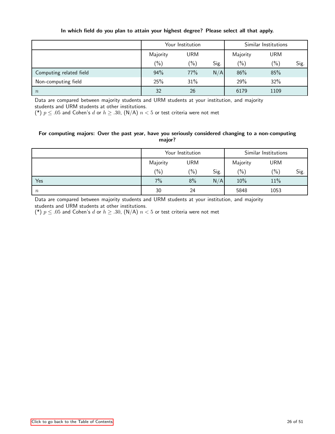|                         | Your Institution |               | Similar Institutions |          |            |      |
|-------------------------|------------------|---------------|----------------------|----------|------------|------|
|                         | Majority         | <b>URM</b>    |                      | Majority | <b>URM</b> |      |
|                         | $(\% )$          | $\frac{6}{2}$ | Sig.                 | $(\% )$  | $(\% )$    | Sig. |
| Computing related field | 94%              | 77%           | N/A                  | 86%      | 85%        |      |
| Non-computing field     | 25%              | 31%           |                      | 29%      | 32%        |      |
| $\boldsymbol{n}$        | 32               | 26            |                      | 6179     | 1109       |      |

### In which field do you plan to attain your highest degree? Please select all that apply.

Data are compared between majority students and URM students at your institution, and majority students and URM students at other institutions.

(\*)  $p \leq .05$  and Cohen's d or  $h \geq .30$ , (N/A)  $n < 5$  or test criteria were not met

### For computing majors: Over the past year, have you seriously considered changing to a non-computing major?

|                  | Your Institution |               | Similar Institutions |          |         |      |
|------------------|------------------|---------------|----------------------|----------|---------|------|
|                  | Majority         | <b>URM</b>    |                      | Majority | URM     |      |
|                  | $\frac{(0)}{0}$  | $\frac{1}{2}$ | Sig.                 | (9/0)    | $(\% )$ | Sig. |
| Yes              | 7%               | 8%            | N/A                  | 10%      | 11%     |      |
| $\boldsymbol{n}$ | 30               | 24            |                      | 5848     | 1053    |      |

Data are compared between majority students and URM students at your institution, and majority students and URM students at other institutions.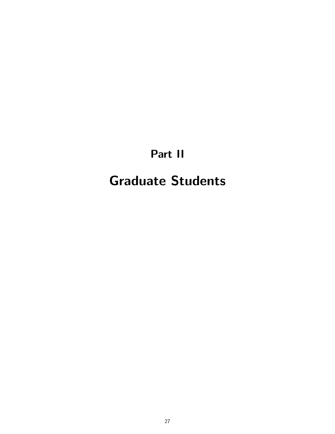# Part II

# <span id="page-26-0"></span>Graduate Students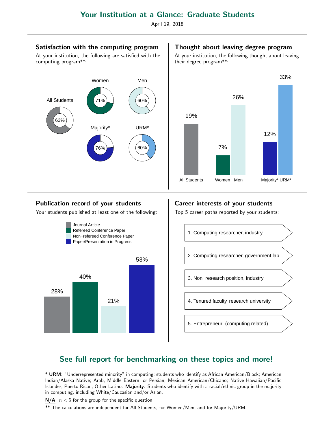April 19, 2018

### Satisfaction with the computing program

At your institution, the following are satisfied with the computing program\*\*:



### Thought about leaving degree program

At your institution, the following thought about leaving their degree program\*\*:



### Publication record of your students

Your students published at least one of the following:



## Career interests of your students

Top 5 career paths reported by your students:



## See full report for benchmarking on these topics and more!

\* URM: "Underrepresented minority" in computing; students who identify as African American/Black; American Indian/Alaska Native; Arab, Middle Eastern, or Persian; Mexican American/Chicano; Native Hawaiian/Pacific Islander; Puerto Rican, Other Latino. Majority: Students who identify with a racial/ethnic group in the majority in computing, including White/Caucasian and/or Asian.

 $N/A$ :  $n < 5$  for the group for the specific question.

\*\* The calculations are independent for All Students, for Women/Men, and for Majority/URM.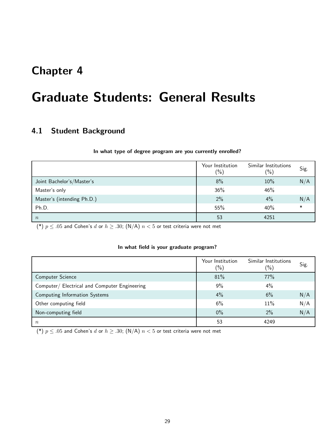## <span id="page-28-0"></span>Chapter 4

# Graduate Students: General Results

## <span id="page-28-1"></span>4.1 Student Background

### In what type of degree program are you currently enrolled?

|                            | Your Institution<br>$(\%)$ | Similar Institutions<br>$(\% )$ | Sig. |
|----------------------------|----------------------------|---------------------------------|------|
| Joint Bachelor's/Master's  | 8%                         | 10%                             | N/A  |
| Master's only              | 36%                        | 46%                             |      |
| Master's (intending Ph.D.) | 2%                         | 4%                              | N/A  |
| Ph.D.                      | 55%                        | 40%                             |      |
| $\boldsymbol{n}$           | 53                         | 4251                            |      |

(\*)  $p \leq .05$  and Cohen's d or  $h \geq .30$ ; (N/A)  $n < 5$  or test criteria were not met

### In what field is your graduate program?

|                                               | Your Institution<br>$\frac{1}{2}$ | Similar Institutions<br>$(\%)$ | Sig. |
|-----------------------------------------------|-----------------------------------|--------------------------------|------|
| Computer Science                              | 81%                               | 77%                            |      |
| Computer/ Electrical and Computer Engineering | 9%                                | $4\%$                          |      |
| Computing Information Systems                 | 4%                                | 6%                             | N/A  |
| Other computing field                         | 6%                                | 11%                            | N/A  |
| Non-computing field                           | $0\%$                             | 2%                             | N/A  |
| $\boldsymbol{n}$                              | 53                                | 4249                           |      |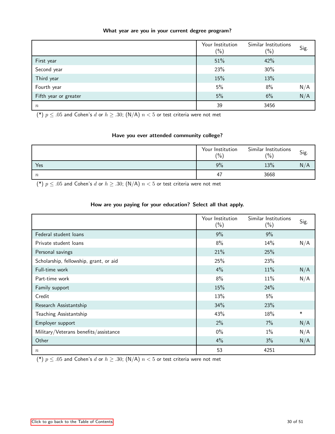### What year are you in your current degree program?

|                       | Your Institution<br>$(\%)$ | Similar Institutions<br>$(\% )$ | Sig. |
|-----------------------|----------------------------|---------------------------------|------|
| First year            | 51%                        | 42%                             |      |
| Second year           | 23%                        | 30%                             |      |
| Third year            | 15%                        | 13%                             |      |
| Fourth year           | 5%                         | 8%                              | N/A  |
| Fifth year or greater | 5%                         | 6%                              | N/A  |
| $\boldsymbol{n}$      | 39                         | 3456                            |      |

(\*)  $p \leq .05$  and Cohen's d or  $h \geq .30$ ; (N/A)  $n < 5$  or test criteria were not met

### Have you ever attended community college?

|        | Your Institution<br>(%) | Similar Institutions<br>(0/0) | Sig. |
|--------|-------------------------|-------------------------------|------|
| Yes    | 9%                      | 13%                           | N/A  |
| $\, n$ | 47                      | 3668                          |      |

(\*)  $p \leq .05$  and Cohen's d or  $h \geq .30$ ; (N/A)  $n < 5$  or test criteria were not met

### How are you paying for your education? Select all that apply.

|                                        | Your Institution<br>$(\%)$ | Similar Institutions<br>$(\%)$ | Sig.   |
|----------------------------------------|----------------------------|--------------------------------|--------|
| Federal student loans                  | 9%                         | 9%                             |        |
| Private student loans                  | 8%                         | 14%                            | N/A    |
| Personal savings                       | 21%                        | 25%                            |        |
| Scholarship, fellowship, grant, or aid | 25%                        | 23%                            |        |
| Full-time work                         | 4%                         | 11%                            | N/A    |
| Part-time work                         | 8%                         | 11%                            | N/A    |
| Family support                         | 15%                        | 24%                            |        |
| Credit                                 | 13%                        | 5%                             |        |
| Research Assistantship                 | 34%                        | 23%                            |        |
| Teaching Assistantship                 | 43%                        | 18%                            | $\ast$ |
| Employer support                       | 2%                         | $7\%$                          | N/A    |
| Military/Veterans benefits/assistance  | $0\%$                      | $1\%$                          | N/A    |
| Other                                  | 4%                         | $3\%$                          | N/A    |
| $\boldsymbol{n}$                       | 53                         | 4251                           |        |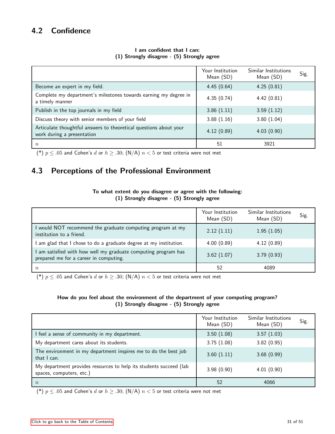## <span id="page-30-0"></span>4.2 Confidence

|                                                                                                 | Your Institution<br>Mean (SD) | Similar Institutions<br>Mean (SD) | Sig. |
|-------------------------------------------------------------------------------------------------|-------------------------------|-----------------------------------|------|
| Become an expert in my field.                                                                   | 4.45(0.64)                    | 4.25(0.81)                        |      |
| Complete my department's milestones towards earning my degree in<br>a timely manner             | 4.35(0.74)                    | 4.42(0.81)                        |      |
| Publish in the top journals in my field                                                         | 3.86(1.11)                    | 3.59(1.12)                        |      |
| Discuss theory with senior members of your field                                                | 3.88(1.16)                    | 3.80(1.04)                        |      |
| Articulate thoughtful answers to theoretical questions about your<br>work during a presentation | 4.12(0.89)                    | 4.03(0.90)                        |      |
| $\boldsymbol{n}$                                                                                | 51                            | 3921                              |      |

### I am confident that I can: (1) Strongly disagree - (5) Strongly agree

(\*)  $p \leq .05$  and Cohen's d or  $h \geq .30$ ; (N/A)  $n < 5$  or test criteria were not met

## <span id="page-30-1"></span>4.3 Perceptions of the Professional Environment

### To what extent do you disagree or agree with the following: (1) Strongly disagree - (5) Strongly agree

|                                                                                                        | Your Institution<br>Mean (SD) | Similar Institutions<br>Mean (SD) | Sig. |
|--------------------------------------------------------------------------------------------------------|-------------------------------|-----------------------------------|------|
| would NOT recommend the graduate computing program at my<br>institution to a friend.                   | 2.12(1.11)                    | 1.95(1.05)                        |      |
| am glad that I chose to do a graduate degree at my institution.                                        | 4.00(0.89)                    | 4.12(0.89)                        |      |
| am satisfied with how well my graduate computing program has<br>prepared me for a career in computing. | 3.62(1.07)                    | 3.79(0.93)                        |      |
| $\, n$                                                                                                 | 52                            | 4089                              |      |

(\*)  $p \leq .05$  and Cohen's d or  $h \geq .30$ ; (N/A)  $n < 5$  or test criteria were not met

### How do you feel about the environment of the department of your computing program? (1) Strongly disagree - (5) Strongly agree

|                                                                                                | Your Institution<br>Mean (SD) | Similar Institutions<br>Mean (SD) | Sig. |
|------------------------------------------------------------------------------------------------|-------------------------------|-----------------------------------|------|
| I feel a sense of community in my department.                                                  | 3.50(1.08)                    | 3.57(1.03)                        |      |
| My department cares about its students.                                                        | 3.75(1.08)                    | 3.82(0.95)                        |      |
| The environment in my department inspires me to do the best job<br>that I can.                 | 3.60(1.11)                    | 3.68(0.99)                        |      |
| My department provides resources to help its students succeed (lab<br>spaces, computers, etc.) | 3.98(0.90)                    | 4.01(0.90)                        |      |
| $\boldsymbol{n}$                                                                               | 52                            | 4066                              |      |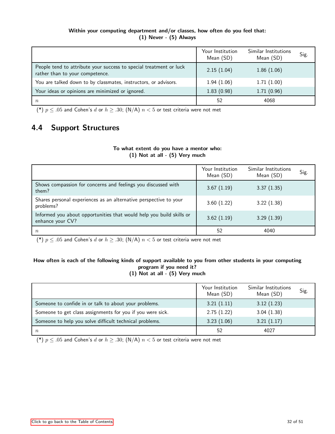### Within your computing department and/or classes, how often do you feel that: (1) Never - (5) Always

|                                                                                                       | Your Institution<br>Mean (SD) | Similar Institutions<br>Mean (SD) | Sig. |
|-------------------------------------------------------------------------------------------------------|-------------------------------|-----------------------------------|------|
| People tend to attribute your success to special treatment or luck<br>rather than to your competence. | 2.15(1.04)                    | 1.86(1.06)                        |      |
| You are talked down to by classmates, instructors, or advisors.                                       | 1.94(1.06)                    | 1.71(1.00)                        |      |
| Your ideas or opinions are minimized or ignored.                                                      | 1.83(0.98)                    | 1.71(0.96)                        |      |
| $\, n$                                                                                                | 52                            | 4068                              |      |

(\*)  $p \leq .05$  and Cohen's d or  $h \geq .30$ ; (N/A)  $n < 5$  or test criteria were not met

## <span id="page-31-0"></span>4.4 Support Structures

### To what extent do you have a mentor who: (1) Not at all - (5) Very much

|                                                                                          | Your Institution<br>Mean (SD) | Similar Institutions<br>Mean (SD) | Sig. |
|------------------------------------------------------------------------------------------|-------------------------------|-----------------------------------|------|
| Shows compassion for concerns and feelings you discussed with<br>them?                   | 3.67(1.19)                    | 3.37(1.35)                        |      |
| Shares personal experiences as an alternative perspective to your<br>problems?           | 3.60(1.22)                    | 3.22(1.38)                        |      |
| Informed you about opportunities that would help you build skills or<br>enhance your CV? | 3.62(1.19)                    | 3.29(1.39)                        |      |
| $\, n$                                                                                   | 52                            | 4040                              |      |

(\*)  $p \leq .05$  and Cohen's d or  $h \geq .30$ ; (N/A)  $n < 5$  or test criteria were not met

### How often is each of the following kinds of support available to you from other students in your computing program if you need it? (1) Not at all - (5) Very much

|                                                            | Your Institution<br>Mean (SD) | Similar Institutions<br>Mean (SD) | Sig. |
|------------------------------------------------------------|-------------------------------|-----------------------------------|------|
| Someone to confide in or talk to about your problems.      | 3.21(1.11)                    | 3.12(1.23)                        |      |
| Someone to get class assignments for you if you were sick. | 2.75(1.22)                    | 3.04(1.38)                        |      |
| Someone to help you solve difficult technical problems.    | 3.23(1.06)                    | 3.21(1.17)                        |      |
| $\boldsymbol{n}$                                           | 52                            | 4027                              |      |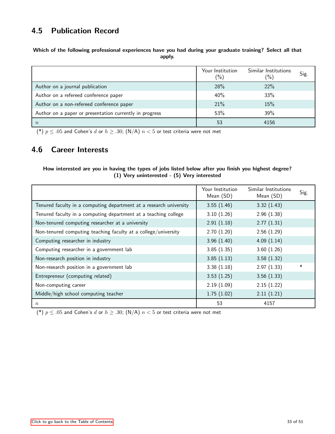## <span id="page-32-0"></span>4.5 Publication Record

Which of the following professional experiences have you had during your graduate training? Select all that apply.

|                                                         | Your Institution<br>$(\% )$ | Similar Institutions<br>$(\%)$ | Sig. |
|---------------------------------------------------------|-----------------------------|--------------------------------|------|
| Author on a journal publication                         | 28%                         | 22%                            |      |
| Author on a refereed conference paper                   | 40%                         | 33%                            |      |
| Author on a non-refereed conference paper               | 21%                         | 15%                            |      |
| Author on a paper or presentation currently in progress | 53%                         | 39%                            |      |
|                                                         | 53                          | 4156                           |      |

(\*)  $p \leq .05$  and Cohen's d or  $h \geq .30$ ; (N/A)  $n < 5$  or test criteria were not met

## <span id="page-32-1"></span>4.6 Career Interests

### How interested are you in having the types of jobs listed below after you finish you highest degree? (1) Very uninterested - (5) Very interested

|                                                                    | Your Institution<br>Mean (SD) | Similar Institutions<br>Mean (SD) | Sig. |
|--------------------------------------------------------------------|-------------------------------|-----------------------------------|------|
| Tenured faculty in a computing department at a research university | 3.55(1.46)                    | 3.32(1.43)                        |      |
| Tenured faculty in a computing department at a teaching college    | 3.10(1.26)                    | 2.96(1.38)                        |      |
| Non-tenured computing researcher at a university                   | 2.91(1.18)                    | 2.77(1.31)                        |      |
| Non-tenured computing teaching faculty at a college/university     | 2.70(1.20)                    | 2.56(1.29)                        |      |
| Computing researcher in industry                                   | 3.96(1.40)                    | 4.09(1.14)                        |      |
| Computing researcher in a government lab                           | 3.85(1.35)                    | 3.60(1.26)                        |      |
| Non-research position in industry                                  | 3.85(1.13)                    | 3.58(1.32)                        |      |
| Non-research position in a government lab                          | 3.38(1.18)                    | 2.97(1.33)                        | ∗    |
| Entrepreneur (computing related)                                   | 3.53(1.25)                    | 3.56(1.33)                        |      |
| Non-computing career                                               | 2.19(1.09)                    | 2.15(1.22)                        |      |
| Middle/high school computing teacher                               | 1.75(1.02)                    | 2.11(1.21)                        |      |
| $\boldsymbol{n}$                                                   | 53                            | 4157                              |      |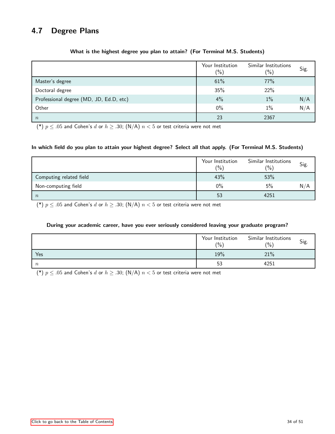## <span id="page-33-0"></span>4.7 Degree Plans

|                                         | Your Institution<br>$(\%)$ | Similar Institutions<br>$(\%)$ | Sig. |
|-----------------------------------------|----------------------------|--------------------------------|------|
| Master's degree                         | 61%                        | 77%                            |      |
| Doctoral degree                         | 35%                        | 22%                            |      |
| Professional degree (MD, JD, Ed.D, etc) | 4%                         | 1%                             | N/A  |
| Other                                   | $0\%$                      | 1%                             | N/A  |
| $\boldsymbol{n}$                        | 23                         | 2367                           |      |

### What is the highest degree you plan to attain? (For Terminal M.S. Students)

(\*)  $p \leq .05$  and Cohen's d or  $h \geq .30$ ; (N/A)  $n < 5$  or test criteria were not met

### In which field do you plan to attain your highest degree? Select all that apply. (For Terminal M.S. Students)

|                         | Your Institution<br>(0/0) | Similar Institutions<br>$\binom{0}{0}$ | Sig. |
|-------------------------|---------------------------|----------------------------------------|------|
| Computing related field | 43%                       | 53%                                    |      |
| Non-computing field     | 0%                        | 5%                                     | N/A  |
| $\boldsymbol{n}$        | 53                        | 4251                                   |      |

(\*)  $p \leq .05$  and Cohen's d or  $h \geq .30$ ; (N/A)  $n < 5$  or test criteria were not met

### During your academic career, have you ever seriously considered leaving your graduate program?

|                  | Your Institution<br>(% ) | Similar Institutions<br>(% ) | Sig. |
|------------------|--------------------------|------------------------------|------|
| Yes              | 19%                      | 21%                          |      |
| $\boldsymbol{n}$ | 53                       | 4251                         |      |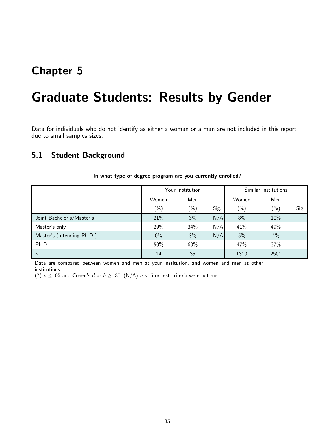## <span id="page-34-0"></span>Chapter 5

## Graduate Students: Results by Gender

Data for individuals who do not identify as either a woman or a man are not included in this report due to small samples sizes.

### <span id="page-34-1"></span>5.1 Student Background

|                            | Your Institution |        |      | Similar Institutions |        |      |
|----------------------------|------------------|--------|------|----------------------|--------|------|
|                            | Women            | Men    |      | Women                | Men    |      |
|                            | $(\%)$           | $(\%)$ | Sig. | $(\%)$               | $(\%)$ | Sig. |
| Joint Bachelor's/Master's  | 21%              | 3%     | N/A  | 8%                   | 10%    |      |
| Master's only              | 29%              | 34%    | N/A  | 41%                  | 49%    |      |
| Master's (intending Ph.D.) | $0\%$            | 3%     | N/A  | 5%                   | 4%     |      |
| Ph.D.                      | 50%              | 60%    |      | 47%                  | 37%    |      |
| $\boldsymbol{n}$           | 14               | 35     |      | 1310                 | 2501   |      |

In what type of degree program are you currently enrolled?

Data are compared between women and men at your institution, and women and men at other institutions.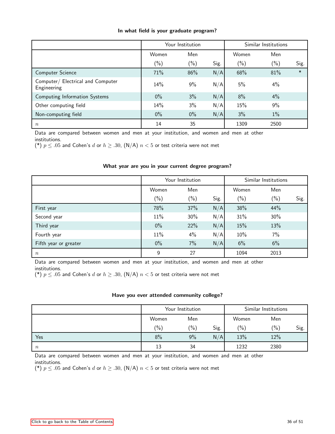|  |  |  |  |  |  | In what field is your graduate program? |
|--|--|--|--|--|--|-----------------------------------------|
|--|--|--|--|--|--|-----------------------------------------|

|                                                  | Your Institution |               |      | Similar Institutions |        |        |
|--------------------------------------------------|------------------|---------------|------|----------------------|--------|--------|
|                                                  | Women            | Men           |      | Women                | Men    |        |
|                                                  | $(\%)$           | $\frac{6}{2}$ | Sig. | $(\%)$               | $(\%)$ | Sig.   |
| Computer Science                                 | 71%              | 86%           | N/A  | 68%                  | 81%    | $\ast$ |
| Computer/ Electrical and Computer<br>Engineering | 14%              | 9%            | N/A  | 5%                   | 4%     |        |
| Computing Information Systems                    | $0\%$            | 3%            | N/A  | 8%                   | 4%     |        |
| Other computing field                            | 14%              | 3%            | N/A  | 15%                  | 9%     |        |
| Non-computing field                              | $0\%$            | $0\%$         | N/A  | 3%                   | $1\%$  |        |
| $\, n$                                           | 14               | 35            |      | 1309                 | 2500   |        |

Data are compared between women and men at your institution, and women and men at other institutions.

(\*)  $p \leq .05$  and Cohen's d or  $h \geq .30$ , (N/A)  $n < 5$  or test criteria were not met

### What year are you in your current degree program?

|                       | Your Institution |        |      | Similar Institutions |         |      |
|-----------------------|------------------|--------|------|----------------------|---------|------|
|                       | Women            | Men    |      | Women                | Men     |      |
|                       | $(\%)$           | $(\%)$ | Sig. | $(\% )$              | $(\% )$ | Sig. |
| First year            | 78%              | 37%    | N/A  | 38%                  | 44%     |      |
| Second year           | 11%              | 30%    | N/A  | 31%                  | 30%     |      |
| Third year            | $0\%$            | 22%    | N/A  | 15%                  | 13%     |      |
| Fourth year           | 11%              | 4%     | N/A  | 10%                  | 7%      |      |
| Fifth year or greater | $0\%$            | $7\%$  | N/A  | 6%                   | 6%      |      |
| $\boldsymbol{n}$      | 9                | 27     |      | 1094                 | 2013    |      |

Data are compared between women and men at your institution, and women and men at other institutions.

(\*)  $p \leq .05$  and Cohen's d or  $h \geq .30$ , (N/A)  $n < 5$  or test criteria were not met

### Have you ever attended community college?

|                  | Your Institution |                |      | Similar Institutions |         |      |
|------------------|------------------|----------------|------|----------------------|---------|------|
|                  | Women            | Men            |      | Women                | Men     |      |
|                  | $(\% )$          | $\binom{0}{0}$ | Sig. | (%)                  | $(\% )$ | Sig. |
| Yes              | 8%               | 9%             | N/A  | 13%                  | 12%     |      |
| $\boldsymbol{n}$ | 13               | 34             |      | 1232                 | 2380    |      |

Data are compared between women and men at your institution, and women and men at other institutions.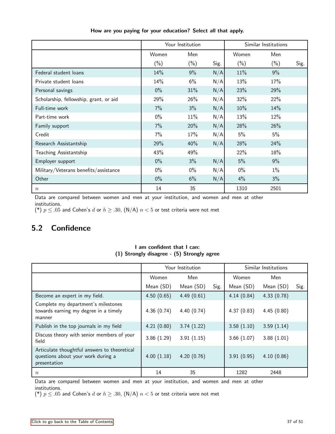|                                        | Your Institution |         |      | Similar Institutions |         |      |
|----------------------------------------|------------------|---------|------|----------------------|---------|------|
|                                        | Women            | Men     |      | Women                | Men     |      |
|                                        | $(\% )$          | $(\% )$ | Sig. | $(\% )$              | $(\% )$ | Sig. |
| Federal student loans                  | 14%              | 9%      | N/A  | 11%                  | 9%      |      |
| Private student loans                  | 14%              | 6%      | N/A  | 13%                  | 17%     |      |
| Personal savings                       | $0\%$            | 31%     | N/A  | 23%                  | 29%     |      |
| Scholarship, fellowship, grant, or aid | 29%              | 26%     | N/A  | 32%                  | 22%     |      |
| Full-time work                         | 7%               | 3%      | N/A  | 10%                  | 14%     |      |
| Part-time work                         | $0\%$            | 11%     | N/A  | 13%                  | 12%     |      |
| Family support                         | 7%               | 20%     | N/A  | 28%                  | 26%     |      |
| Credit                                 | 7%               | 17%     | N/A  | 5%                   | 5%      |      |
| Research Assistantship                 | 29%              | 40%     | N/A  | 28%                  | 24%     |      |
| Teaching Assistantship                 | 43%              | 49%     |      | 22%                  | 18%     |      |
| Employer support                       | $0\%$            | 3%      | N/A  | 5%                   | 9%      |      |
| Military/Veterans benefits/assistance  | $0\%$            | $0\%$   | N/A  | $0\%$                | $1\%$   |      |
| Other                                  | $0\%$            | 6%      | N/A  | 4%                   | 3%      |      |
| $\,n$                                  | 14               | 35      |      | 1310                 | 2501    |      |

How are you paying for your education? Select all that apply.

Data are compared between women and men at your institution, and women and men at other institutions.

(\*)  $p \leq .05$  and Cohen's d or  $h \geq .30$ , (N/A)  $n < 5$  or test criteria were not met

## <span id="page-36-0"></span>5.2 Confidence

|                                                                                                    |            | Your Institution |      | Similar Institutions |            |      |
|----------------------------------------------------------------------------------------------------|------------|------------------|------|----------------------|------------|------|
|                                                                                                    | Women      | Men              |      | Women                | Men        |      |
|                                                                                                    | Mean (SD)  | Mean (SD)        | Sig. | Mean (SD)            | Mean (SD)  | Sig. |
| Become an expert in my field.                                                                      | 4.50(0.65) | 4.49(0.61)       |      | 4.14(0.84)           | 4.33(0.78) |      |
| Complete my department's milestones<br>towards earning my degree in a timely<br>manner             | 4.36(0.74) | 4.40(0.74)       |      | 4.37(0.83)           | 4.45(0.80) |      |
| Publish in the top journals in my field                                                            | 4.21(0.80) | 3.74(1.22)       |      | 3.58(1.10)           | 3.59(1.14) |      |
| Discuss theory with senior members of your<br>field                                                | 3.86(1.29) | 3.91(1.15)       |      | 3.66(1.07)           | 3.88(1.01) |      |
| Articulate thoughtful answers to theoretical<br>questions about your work during a<br>presentation | 4.00(1.18) | 4.20(0.76)       |      | 3.91(0.95)           | 4.10(0.86) |      |
| $\boldsymbol{n}$                                                                                   | 14         | 35               |      | 1282                 | 2448       |      |

I am confident that I can: (1) Strongly disagree - (5) Strongly agree

Data are compared between women and men at your institution, and women and men at other institutions.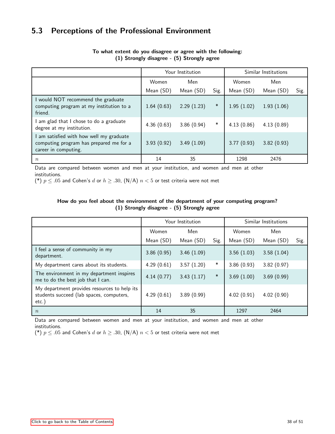## <span id="page-37-0"></span>5.3 Perceptions of the Professional Environment

|                                                                                                           |            | Your Institution | Similar Institutions |            |            |      |
|-----------------------------------------------------------------------------------------------------------|------------|------------------|----------------------|------------|------------|------|
|                                                                                                           | Women      | Men              |                      | Women      | Men        |      |
|                                                                                                           | Mean (SD)  | Mean (SD)        | Sig.                 | Mean (SD)  | Mean (SD)  | Sig. |
| would NOT recommend the graduate<br>computing program at my institution to a<br>friend.                   | 1.64(0.63) | 2.29(1.23)       | $\ast$               | 1.95(1.02) | 1.93(1.06) |      |
| am glad that I chose to do a graduate<br>degree at my institution.                                        | 4.36(0.63) | 3.86(0.94)       | $\ast$               | 4.13(0.86) | 4.13(0.89) |      |
| am satisfied with how well my graduate<br>computing program has prepared me for a<br>career in computing. | 3.93(0.92) | 3.49(1.09)       |                      | 3.77(0.93) | 3.82(0.93) |      |
| $\boldsymbol{n}$                                                                                          | 14         | 35               |                      | 1298       | 2476       |      |

### To what extent do you disagree or agree with the following: (1) Strongly disagree - (5) Strongly agree

Data are compared between women and men at your institution, and women and men at other institutions.

(\*)  $p \leq .05$  and Cohen's d or  $h \geq .30$ , (N/A)  $n < 5$  or test criteria were not met

### How do you feel about the environment of the department of your computing program? (1) Strongly disagree - (5) Strongly agree

|                                                                                                      | Your Institution |            |        | Similar Institutions |            |      |
|------------------------------------------------------------------------------------------------------|------------------|------------|--------|----------------------|------------|------|
|                                                                                                      | Women            | Men        |        | Women                | Men        |      |
|                                                                                                      | Mean (SD)        | Mean (SD)  | Sig.   | Mean (SD)            | Mean (SD)  | Sig. |
| I feel a sense of community in my<br>department.                                                     | 3.86(0.95)       | 3.46(1.09) |        | 3.56(1.03)           | 3.58(1.04) |      |
| My department cares about its students.                                                              | 4.29(0.61)       | 3.57(1.20) | $\ast$ | 3.86(0.93)           | 3.82(0.97) |      |
| The environment in my department inspires<br>me to do the best job that I can.                       | 4.14(0.77)       | 3.43(1.17) | $\ast$ | 3.69(1.00)           | 3.69(0.99) |      |
| My department provides resources to help its<br>students succeed (lab spaces, computers,<br>$etc.$ ) | 4.29(0.61)       | 3.89(0.99) |        | 4.02(0.91)           | 4.02(0.90) |      |
| $\boldsymbol{n}$                                                                                     | 14               | 35         |        | 1297                 | 2464       |      |

Data are compared between women and men at your institution, and women and men at other institutions.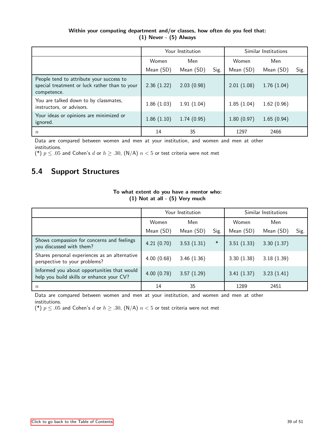### Within your computing department and/or classes, how often do you feel that: (1) Never - (5) Always

|                                                                                                          |            | Your Institution | Similar Institutions |            |            |      |
|----------------------------------------------------------------------------------------------------------|------------|------------------|----------------------|------------|------------|------|
|                                                                                                          | Women      | Men              |                      | Women      | Men        |      |
|                                                                                                          | Mean (SD)  | Mean (SD)        | Sig.                 | Mean (SD)  | Mean (SD)  | Sig. |
| People tend to attribute your success to<br>special treatment or luck rather than to your<br>competence. | 2.36(1.22) | 2.03(0.98)       |                      | 2.01(1.08) | 1.76(1.04) |      |
| You are talked down to by classmates,<br>instructors, or advisors.                                       | 1.86(1.03) | 1.91(1.04)       |                      | 1.85(1.04) | 1.62(0.96) |      |
| Your ideas or opinions are minimized or<br>ignored.                                                      | 1.86(1.10) | 1.74(0.95)       |                      | 1.80(0.97) | 1.65(0.94) |      |
| $\boldsymbol{n}$                                                                                         | 14         | 35               |                      | 1297       | 2466       |      |

Data are compared between women and men at your institution, and women and men at other

institutions.

(\*)  $p \leq .05$  and Cohen's d or  $h \geq .30$ , (N/A)  $n < 5$  or test criteria were not met

## <span id="page-38-0"></span>5.4 Support Structures

|                                                                                          | (1) ivot at all - (5) very much |                  |        |                      |            |      |
|------------------------------------------------------------------------------------------|---------------------------------|------------------|--------|----------------------|------------|------|
|                                                                                          |                                 | Your Institution |        | Similar Institutions |            |      |
|                                                                                          | Women                           | Men              |        | Women                | Men        |      |
|                                                                                          | Mean (SD)                       | Mean (SD)        | Sig.   | Mean (SD)            | Mean (SD)  | Sig. |
| Shows compassion for concerns and feelings<br>you discussed with them?                   | 4.21(0.70)                      | 3.53(1.31)       | $\ast$ | 3.51(1.33)           | 3.30(1.37) |      |
| Shares personal experiences as an alternative<br>perspective to your problems?           | 4.00(0.68)                      | 3.46(1.36)       |        | 3.30(1.38)           | 3.18(1.39) |      |
| Informed you about opportunities that would<br>help you build skills or enhance your CV? | 4.00(0.78)                      | 3.57(1.29)       |        | 3.41(1.37)           | 3.23(1.41) |      |
| $\boldsymbol{n}$                                                                         | 14                              | 35               |        | 1289                 | 2451       |      |

### To what extent do you have a mentor who: (1) Not at all - (5) Very much

Data are compared between women and men at your institution, and women and men at other institutions.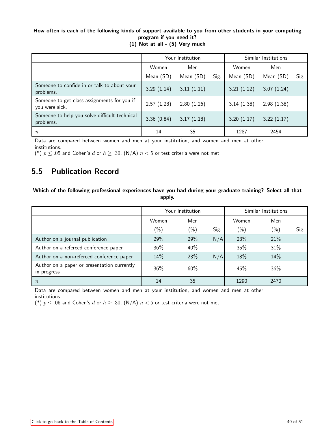### How often is each of the following kinds of support available to you from other students in your computing program if you need it?

|                                                               |            | Your Institution | Similar Institutions |            |            |      |
|---------------------------------------------------------------|------------|------------------|----------------------|------------|------------|------|
|                                                               | Women      | Men              |                      | Women      | Men        |      |
|                                                               | Mean (SD)  | Mean (SD)        | Sig.                 | Mean (SD)  | Mean (SD)  | Sig. |
| Someone to confide in or talk to about your<br>problems.      | 3.29(1.14) | 3.11(1.11)       |                      | 3.21(1.22) | 3.07(1.24) |      |
| Someone to get class assignments for you if<br>you were sick. | 2.57(1.28) | 2.80(1.26)       |                      | 3.14(1.38) | 2.98(1.38) |      |
| Someone to help you solve difficult technical<br>problems.    | 3.36(0.84) | 3.17(1.18)       |                      | 3.20(1.17) | 3.22(1.17) |      |
| $\boldsymbol{n}$                                              | 14         | 35               |                      | 1287       | 2454       |      |

(1) Not at all - (5) Very much

Data are compared between women and men at your institution, and women and men at other

institutions.

(\*)  $p \leq .05$  and Cohen's d or  $h \geq .30$ , (N/A)  $n < 5$  or test criteria were not met

## <span id="page-39-0"></span>5.5 Publication Record

Which of the following professional experiences have you had during your graduate training? Select all that apply.

|                                                            | Your Institution |        |      | Similar Institutions |         |      |
|------------------------------------------------------------|------------------|--------|------|----------------------|---------|------|
|                                                            | Women            | Men    |      | Women                | Men     |      |
|                                                            | $(\%)$           | $(\%)$ | Sig. | $(\% )$              | $(\% )$ | Sig. |
| Author on a journal publication                            | 29%              | 29%    | N/A  | 23%                  | 21%     |      |
| Author on a refereed conference paper                      | 36%              | 40%    |      | 35%                  | 31%     |      |
| Author on a non-refereed conference paper                  | 14%              | 23%    | N/A  | 18%                  | 14%     |      |
| Author on a paper or presentation currently<br>in progress | 36%              | 60%    |      | 45%                  | 36%     |      |
| $\boldsymbol{n}$                                           | 14               | 35     |      | 1290                 | 2470    |      |

Data are compared between women and men at your institution, and women and men at other institutions.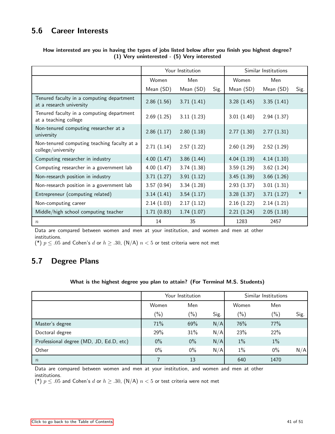## <span id="page-40-0"></span>5.6 Career Interests

|                                                                       |            | Your Institution |      |            | Similar Institutions |        |
|-----------------------------------------------------------------------|------------|------------------|------|------------|----------------------|--------|
|                                                                       | Women      | Men              |      | Women      | Men                  |        |
|                                                                       | Mean (SD)  | Mean (SD)        | Sig. | Mean (SD)  | Mean (SD)            | Sig.   |
| Tenured faculty in a computing department<br>at a research university | 2.86(1.56) | 3.71(1.41)       |      | 3.28(1.45) | 3.35(1.41)           |        |
| Tenured faculty in a computing department<br>at a teaching college    | 2.69(1.25) | 3.11(1.23)       |      | 3.01(1.40) | 2.94(1.37)           |        |
| Non-tenured computing researcher at a<br>university                   | 2.86(1.17) | 2.80(1.18)       |      | 2.77(1.30) | 2.77(1.31)           |        |
| Non-tenured computing teaching faculty at a<br>college/university     | 2.71(1.14) | 2.57(1.22)       |      | 2.60(1.29) | 2.52(1.29)           |        |
| Computing researcher in industry                                      | 4.00(1.47) | 3.86(1.44)       |      | 4.04(1.19) | 4.14(1.10)           |        |
| Computing researcher in a government lab                              | 4.00(1.47) | 3.74(1.38)       |      | 3.59(1.29) | 3.62(1.24)           |        |
| Non-research position in industry                                     | 3.71(1.27) | 3.91(1.12)       |      | 3.45(1.39) | 3.66(1.26)           |        |
| Non-research position in a government lab                             | 3.57(0.94) | 3.34(1.28)       |      | 2.93(1.37) | 3.01(1.31)           |        |
| Entrepreneur (computing related)                                      | 3.14(1.41) | 3.54(1.17)       |      | 3.28(1.37) | 3.71(1.27)           | $\ast$ |
| Non-computing career                                                  | 2.14(1.03) | 2.17(1.12)       |      | 2.16(1.22) | 2.14(1.21)           |        |
| Middle/high school computing teacher                                  | 1.71(0.83) | 1.74(1.07)       |      | 2.21(1.24) | 2.05(1.18)           |        |
| $\boldsymbol{n}$                                                      | 14         | 35               |      | 1283       | 2457                 |        |

### How interested are you in having the types of jobs listed below after you finish you highest degree? (1) Very uninterested - (5) Very interested

Data are compared between women and men at your institution, and women and men at other institutions.

(\*)  $p \leq .05$  and Cohen's d or  $h \geq .30$ , (N/A)  $n < 5$  or test criteria were not met

## <span id="page-40-1"></span>5.7 Degree Plans

### What is the highest degree you plan to attain? (For Terminal M.S. Students)

|                                         | Your Institution |               |      | Similar Institutions |         |      |
|-----------------------------------------|------------------|---------------|------|----------------------|---------|------|
|                                         | Women            | Men           |      | Women                | Men     |      |
|                                         | $(\%)$           | $\frac{1}{2}$ | Sig. | $(\% )$              | $(\% )$ | Sig. |
| Master's degree                         | 71%              | 69%           | N/A  | 76%                  | 77%     |      |
| Doctoral degree                         | 29%              | 31%           | N/A  | 23%                  | 22%     |      |
| Professional degree (MD, JD, Ed.D, etc) | $0\%$            | $0\%$         | N/A  | $1\%$                | $1\%$   |      |
| Other                                   | $0\%$            | $0\%$         | N/A  | $1\%$                | $0\%$   | N/A  |
| $\boldsymbol{n}$                        |                  | 13            |      | 640                  | 1470    |      |

Data are compared between women and men at your institution, and women and men at other institutions.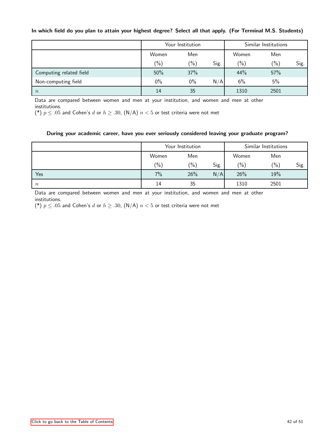### In which field do you plan to attain your highest degree? Select all that apply. (For Terminal M.S. Students)

|                         | Your Institution |        |      | Similar Institutions |         |      |
|-------------------------|------------------|--------|------|----------------------|---------|------|
|                         | Women            | Men    |      | Women                | Men     |      |
|                         | $(\% )$          | $(\%)$ | Sig. | $(\% )$              | $(\% )$ | Sig. |
| Computing related field | 50%              | 37%    |      | 44%                  | 57%     |      |
| Non-computing field     | $0\%$            | $0\%$  | N/A  | 6%                   | 5%      |      |
| $\boldsymbol{n}$        | 14               | 35     |      | 1310                 | 2501    |      |

Data are compared between women and men at your institution, and women and men at other institutions.

(\*)  $p \leq .05$  and Cohen's d or  $h \geq .30$ , (N/A)  $n < 5$  or test criteria were not met

### During your academic career, have you ever seriously considered leaving your graduate program?

|        | Your Institution |               |      | Similar Institutions |         |      |
|--------|------------------|---------------|------|----------------------|---------|------|
|        | Women            | Men           |      | Women                | Men     |      |
|        | $(\% )$          | $\frac{1}{2}$ | Sig. | $(\% )$              | $(\% )$ | Sig. |
| Yes    | 7%               | 26%           | N/A  | 26%                  | 19%     |      |
| $\, n$ | 14               | 35            |      | 1310                 | 2501    |      |

Data are compared between women and men at your institution, and women and men at other institutions.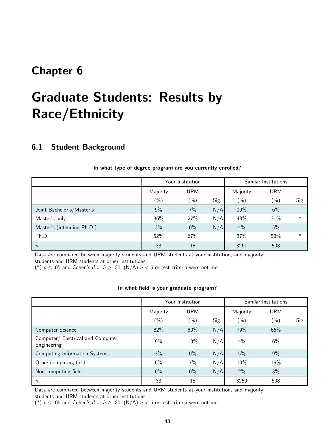## <span id="page-42-0"></span>Chapter 6

# Graduate Students: Results by Race/Ethnicity

### <span id="page-42-1"></span>6.1 Student Background

|                            | Your Institution |            |      | Similar Institutions |            |        |
|----------------------------|------------------|------------|------|----------------------|------------|--------|
|                            | Majority         | <b>URM</b> |      | Majority             | <b>URM</b> |        |
|                            | $(\%)$           | $(\%)$     | Sig. | $(\% )$              | $(\% )$    | Sig.   |
| Joint Bachelor's/Master's  | 9%               | 7%         | N/A  | 10%                  | 6%         |        |
| Master's only              | 36%              | 27%        | N/A  | 48%                  | 31%        | $\ast$ |
| Master's (intending Ph.D.) | 3%               | $0\%$      | N/A  | 4%                   | 5%         |        |
| Ph.D.                      | 52%              | 67%        |      | 37%                  | 58%        | $\ast$ |
| $\boldsymbol{n}$           | 33               | 15         |      | 3261                 | 508        |        |

### In what type of degree program are you currently enrolled?

Data are compared between majority students and URM students at your institution, and majority students and URM students at other institutions.

(\*)  $p \leq .05$  and Cohen's d or  $h \geq .30$ , (N/A)  $n < 5$  or test criteria were not met

#### In what field is your graduate program?

|                                                  | Your Institution |               |      | Similar Institutions |            |      |
|--------------------------------------------------|------------------|---------------|------|----------------------|------------|------|
|                                                  | Majority         | <b>URM</b>    |      | Majority             | <b>URM</b> |      |
|                                                  | $(\%)$           | $\frac{1}{2}$ | Sig. | $(\% )$              | $(\%)$     | Sig. |
| Computer Science                                 | 82%              | 80%           | N/A  | 79%                  | 66%        |      |
| Computer/ Electrical and Computer<br>Engineering | $9\%$            | 13%           | N/A  | $4\%$                | 6%         |      |
| Computing Information Systems                    | 3%               | $0\%$         | N/A  | 5%                   | 9%         |      |
| Other computing field                            | 6%               | 7%            | N/A  | 10%                  | 15%        |      |
| Non-computing field                              | $0\%$            | $0\%$         | N/A  | 2%                   | 3%         |      |
| $\, n$                                           | 33               | 15            |      | 3259                 | 508        |      |

Data are compared between majority students and URM students at your institution, and majority students and URM students at other institutions.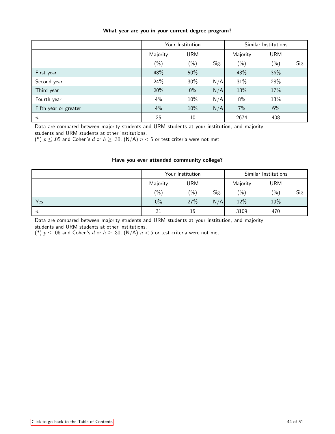|                       | Your Institution |            |      | Similar Institutions |            |      |
|-----------------------|------------------|------------|------|----------------------|------------|------|
|                       | Majority         | <b>URM</b> |      | Majority             | <b>URM</b> |      |
|                       | $(\%)$           | $(\%)$     | Sig. | $(\%)$               | $(\%)$     | Sig. |
| First year            | 48%              | 50%        |      | 43%                  | 36%        |      |
| Second year           | 24%              | 30%        | N/A  | 31%                  | 28%        |      |
| Third year            | 20%              | $0\%$      | N/A  | 13%                  | 17%        |      |
| Fourth year           | 4%               | 10%        | N/A  | 8%                   | 13%        |      |
| Fifth year or greater | 4%               | 10%        | N/A  | 7%                   | 6%         |      |
| $\,n$                 | 25               | 10         |      | 2674                 | 408        |      |

### What year are you in your current degree program?

Data are compared between majority students and URM students at your institution, and majority students and URM students at other institutions.

(\*)  $p \leq .05$  and Cohen's d or  $h \geq .30$ , (N/A)  $n < 5$  or test criteria were not met

### Have you ever attended community college?

|                  | Your Institution |               |      | Similar Institutions |            |      |
|------------------|------------------|---------------|------|----------------------|------------|------|
|                  | Majority         | <b>URM</b>    |      | Majority             | <b>URM</b> |      |
|                  | $(\% )$          | $\frac{9}{6}$ | Sig. | $(\% )$              | (%)        | Sig. |
| Yes              | $0\%$            | 27%           | N/A  | 12%                  | 19%        |      |
| $\boldsymbol{n}$ | 31               | 15            |      | 3109                 | 470        |      |

Data are compared between majority students and URM students at your institution, and majority students and URM students at other institutions.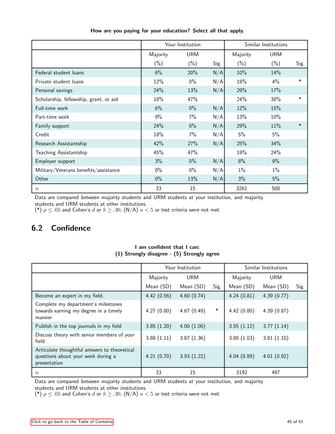|                                        | Your Institution |            |      | Similar Institutions |            |        |
|----------------------------------------|------------------|------------|------|----------------------|------------|--------|
|                                        | Majority         | <b>URM</b> |      | Majority             | <b>URM</b> |        |
|                                        | $(\% )$          | $(\% )$    | Sig. | $(\% )$              | $(\% )$    | Sig.   |
| Federal student loans                  | 6%               | 20%        | N/A  | 10%                  | 14%        |        |
| Private student loans                  | 12%              | $0\%$      | N/A  | 18%                  | 4%         | $\ast$ |
| Personal savings                       | 24%              | 13%        | N/A  | 29%                  | 17%        |        |
| Scholarship, fellowship, grant, or aid | 18%              | 47%        |      | 24%                  | 38%        | $\ast$ |
| Full-time work                         | 6%               | $0\%$      | N/A  | 12%                  | 15%        |        |
| Part-time work                         | 9%               | $7\%$      | N/A  | 13%                  | 10%        |        |
| Family support                         | 24%              | $0\%$      | N/A  | 29%                  | 11%        | $\ast$ |
| Credit                                 | 18%              | 7%         | N/A  | 5%                   | 5%         |        |
| Research Assistantship                 | 42%              | 27%        | N/A  | 25%                  | 34%        |        |
| Teaching Assistantship                 | 45%              | 47%        |      | 19%                  | 24%        |        |
| Employer support                       | 3%               | $0\%$      | N/A  | 8%                   | 9%         |        |
| Military/Veterans benefits/assistance  | $0\%$            | $0\%$      | N/A  | $1\%$                | 1%         |        |
| Other                                  | $0\%$            | 13%        | N/A  | 3%                   | 5%         |        |
| $\,n$                                  | 33               | 15         |      | 3261                 | 508        |        |

How are you paying for your education? Select all that apply.

Data are compared between majority students and URM students at your institution, and majority students and URM students at other institutions.

(\*)  $p \leq .05$  and Cohen's d or  $h \geq .30$ , (N/A)  $n < 5$  or test criteria were not met

## <span id="page-44-0"></span>6.2 Confidence

|                                                                                                    | Your Institution |            |        | Similar Institutions |            |      |
|----------------------------------------------------------------------------------------------------|------------------|------------|--------|----------------------|------------|------|
|                                                                                                    | Majority         | <b>URM</b> |        | Majority             | <b>URM</b> |      |
|                                                                                                    | Mean (SD)        | Mean (SD)  | Sig.   | Mean (SD)            | Mean (SD)  | Sig. |
| Become an expert in my field.                                                                      | 4.42(0.56)       | 4.60(0.74) |        | 4.24(0.81)           | 4.39(0.77) |      |
| Complete my department's milestones<br>towards earning my degree in a timely<br>manner             | 4.27(0.80)       | 4.67(0.49) | $\ast$ | 4.42(0.80)           | 4.39(0.87) |      |
| Publish in the top journals in my field                                                            | 3.85(1.20)       | 4.00(1.00) |        | 3.55(1.12)           | 3.77(1.14) |      |
| Discuss theory with senior members of your<br>field                                                | 3.88(1.11)       | 3.87(1.36) |        | 3.80(1.03)           | 3.81(1.10) |      |
| Articulate thoughtful answers to theoretical<br>questions about your work during a<br>presentation | 4.21(0.70)       | 3.93(1.22) |        | 4.04(0.89)           | 4.01(0.92) |      |
| $\boldsymbol{n}$                                                                                   | 33               | 15         |        | 3192                 | 497        |      |

### I am confident that I can: (1) Strongly disagree - (5) Strongly agree

Data are compared between majority students and URM students at your institution, and majority students and URM students at other institutions.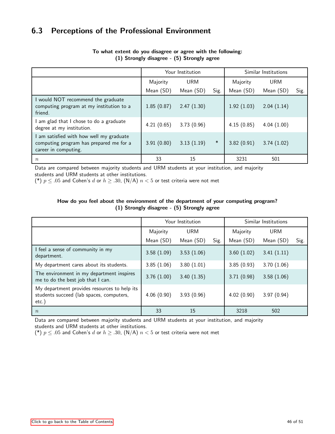## <span id="page-45-0"></span>6.3 Perceptions of the Professional Environment

|                                                                                                           |            | Your Institution | Similar Institutions |            |            |      |
|-----------------------------------------------------------------------------------------------------------|------------|------------------|----------------------|------------|------------|------|
|                                                                                                           | Majority   | <b>URM</b>       |                      | Majority   | <b>URM</b> |      |
|                                                                                                           | Mean (SD)  | Mean (SD)        | Sig.                 | Mean (SD)  | Mean (SD)  | Sig. |
| I would NOT recommend the graduate<br>computing program at my institution to a<br>friend.                 | 1.85(0.87) | 2.47(1.30)       |                      | 1.92(1.03) | 2.04(1.14) |      |
| am glad that I chose to do a graduate<br>degree at my institution.                                        | 4.21(0.65) | 3.73(0.96)       |                      | 4.15(0.85) | 4.04(1.00) |      |
| am satisfied with how well my graduate<br>computing program has prepared me for a<br>career in computing. | 3.91(0.80) | 3.13(1.19)       | $\ast$               | 3.82(0.91) | 3.74(1.02) |      |
| $\boldsymbol{n}$                                                                                          | 33         | 15               |                      | 3231       | 501        |      |

### To what extent do you disagree or agree with the following: (1) Strongly disagree - (5) Strongly agree

Data are compared between majority students and URM students at your institution, and majority students and URM students at other institutions.

(\*)  $p \leq .05$  and Cohen's d or  $h \geq .30$ , (N/A)  $n < 5$  or test criteria were not met

### How do you feel about the environment of the department of your computing program? (1) Strongly disagree - (5) Strongly agree

|                                                                                                      | Your Institution |            |      | Similar Institutions |            |      |
|------------------------------------------------------------------------------------------------------|------------------|------------|------|----------------------|------------|------|
|                                                                                                      | Majority         | <b>URM</b> |      | Majority             | <b>URM</b> |      |
|                                                                                                      | Mean (SD)        | Mean (SD)  | Sig. | Mean (SD)            | Mean (SD)  | Sig. |
| I feel a sense of community in my<br>department.                                                     | 3.58(1.09)       | 3.53(1.06) |      | 3.60(1.02)           | 3.41(1.11) |      |
| My department cares about its students.                                                              | 3.85(1.06)       | 3.80(1.01) |      | 3.85(0.93)           | 3.70(1.06) |      |
| The environment in my department inspires<br>me to do the best job that I can.                       | 3.76(1.00)       | 3.40(1.35) |      | 3.71(0.98)           | 3.58(1.06) |      |
| My department provides resources to help its<br>students succeed (lab spaces, computers,<br>$etc.$ ) | 4.06(0.90)       | 3.93(0.96) |      | 4.02(0.90)           | 3.97(0.94) |      |
| $\boldsymbol{n}$                                                                                     | 33               | 15         |      | 3218                 | 502        |      |

Data are compared between majority students and URM students at your institution, and majority students and URM students at other institutions.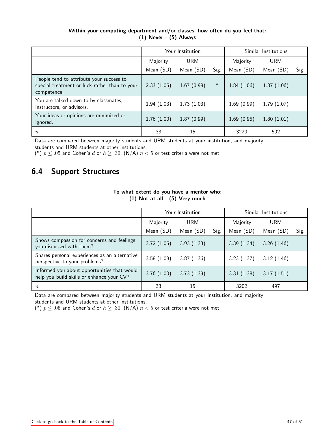### Within your computing department and/or classes, how often do you feel that: (1) Never - (5) Always

|                                                                                                          |            | Your Institution | Similar Institutions |            |            |      |
|----------------------------------------------------------------------------------------------------------|------------|------------------|----------------------|------------|------------|------|
|                                                                                                          | Majority   | <b>URM</b>       |                      | Majority   | <b>URM</b> |      |
|                                                                                                          | Mean (SD)  | Mean (SD)        | Sig.                 | Mean (SD)  | Mean (SD)  | Sig. |
| People tend to attribute your success to<br>special treatment or luck rather than to your<br>competence. | 2.33(1.05) | 1.67(0.98)       | $\ast$               | 1.84(1.06) | 1.87(1.06) |      |
| You are talked down to by classmates,<br>instructors, or advisors.                                       | 1.94(1.03) | 1.73(1.03)       |                      | 1.69(0.99) | 1.79(1.07) |      |
| Your ideas or opinions are minimized or<br>ignored.                                                      | 1.76(1.00) | 1.87(0.99)       |                      | 1.69(0.95) | 1.80(1.01) |      |
| $\it n$                                                                                                  | 33         | 15               |                      | 3220       | 502        |      |

Data are compared between majority students and URM students at your institution, and majority students and URM students at other institutions.

(\*)  $p \leq .05$  and Cohen's d or  $h \geq .30$ , (N/A)  $n < 5$  or test criteria were not met

## <span id="page-46-0"></span>6.4 Support Structures

|                                                                                          |            | Your Institution | Similar Institutions |            |            |      |
|------------------------------------------------------------------------------------------|------------|------------------|----------------------|------------|------------|------|
|                                                                                          | Majority   | <b>URM</b>       |                      | Majority   | <b>URM</b> |      |
|                                                                                          | Mean (SD)  | Mean (SD)        | Sig.                 | Mean (SD)  | Mean (SD)  | Sig. |
| Shows compassion for concerns and feelings<br>you discussed with them?                   | 3.72(1.05) | 3.93(1.33)       |                      | 3.39(1.34) | 3.26(1.46) |      |
| Shares personal experiences as an alternative<br>perspective to your problems?           | 3.58(1.09) | 3.87(1.36)       |                      | 3.23(1.37) | 3.12(1.46) |      |
| Informed you about opportunities that would<br>help you build skills or enhance your CV? | 3.76(1.00) | 3.73(1.39)       |                      | 3.31(1.38) | 3.17(1.51) |      |
| $\, n$                                                                                   | 33         | 15               |                      | 3202       | 497        |      |

### To what extent do you have a mentor who: (1) Not at all - (5) Very much

Data are compared between majority students and URM students at your institution, and majority students and URM students at other institutions.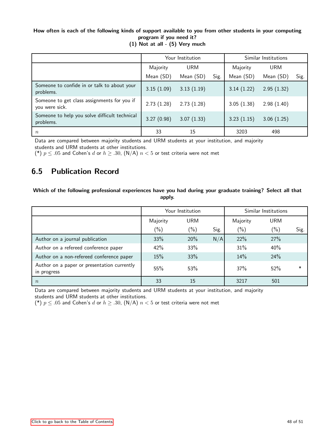### How often is each of the following kinds of support available to you from other students in your computing program if you need it?

|                                                               |            | Your Institution | Similar Institutions |            |            |      |
|---------------------------------------------------------------|------------|------------------|----------------------|------------|------------|------|
|                                                               | Majority   | <b>URM</b>       |                      | Majority   | <b>URM</b> |      |
|                                                               | Mean (SD)  | Mean (SD)        | Sig.                 | Mean (SD)  | Mean (SD)  | Sig. |
| Someone to confide in or talk to about your<br>problems.      | 3.15(1.09) | 3.13(1.19)       |                      | 3.14(1.22) | 2.95(1.32) |      |
| Someone to get class assignments for you if<br>you were sick. | 2.73(1.28) | 2.73(1.28)       |                      | 3.05(1.38) | 2.98(1.40) |      |
| Someone to help you solve difficult technical<br>problems.    | 3.27(0.98) | 3.07(1.33)       |                      | 3.23(1.15) | 3.06(1.25) |      |
| $\boldsymbol{n}$                                              | 33         | 15               |                      | 3203       | 498        |      |

(1) Not at all - (5) Very much

Data are compared between majority students and URM students at your institution, and majority students and URM students at other institutions.

(\*)  $p \leq .05$  and Cohen's d or  $h \geq .30$ , (N/A)  $n < 5$  or test criteria were not met

## <span id="page-47-0"></span>6.5 Publication Record

Which of the following professional experiences have you had during your graduate training? Select all that apply.

|                                                            | Your Institution |            |      | Similar Institutions |            |        |
|------------------------------------------------------------|------------------|------------|------|----------------------|------------|--------|
|                                                            | Majority         | <b>URM</b> |      | Majority             | <b>URM</b> |        |
|                                                            | $(\%)$           | $(\%)$     | Sig. | $(\% )$              | $(\%)$     | Sig.   |
| Author on a journal publication                            | 33%              | 20%        | N/A  | 22%                  | 27%        |        |
| Author on a refereed conference paper                      | 42%              | 33%        |      | 31%                  | 40%        |        |
| Author on a non-refereed conference paper                  | 15%              | 33%        |      | 14%                  | 24%        |        |
| Author on a paper or presentation currently<br>in progress | 55%              | 53%        |      | 37%                  | 52%        | $\ast$ |
| $\boldsymbol{n}$                                           | 33               | 15         |      | 3217                 | 501        |        |

Data are compared between majority students and URM students at your institution, and majority students and URM students at other institutions.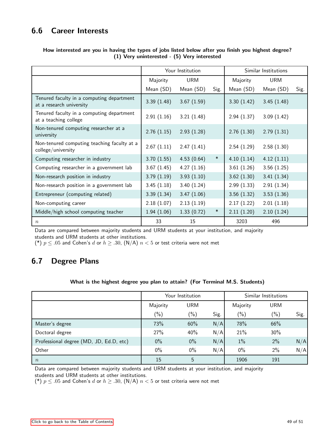## <span id="page-48-0"></span>6.6 Career Interests

|                                                                       | Your Institution |            |        | Similar Institutions |            |      |
|-----------------------------------------------------------------------|------------------|------------|--------|----------------------|------------|------|
|                                                                       | Majority         | <b>URM</b> |        | Majority             | <b>URM</b> |      |
|                                                                       | Mean (SD)        | Mean (SD)  | Sig.   | Mean (SD)            | Mean (SD)  | Sig. |
| Tenured faculty in a computing department<br>at a research university | 3.39(1.48)       | 3.67(1.59) |        | 3.30(1.42)           | 3.45(1.48) |      |
| Tenured faculty in a computing department<br>at a teaching college    | 2.91(1.16)       | 3.21(1.48) |        | 2.94(1.37)           | 3.09(1.42) |      |
| Non-tenured computing researcher at a<br>university                   | 2.76(1.15)       | 2.93(1.28) |        | 2.76(1.30)           | 2.79(1.31) |      |
| Non-tenured computing teaching faculty at a<br>college/university     | 2.67(1.11)       | 2.47(1.41) |        | 2.54(1.29)           | 2.58(1.30) |      |
| Computing researcher in industry                                      | 3.70(1.55)       | 4.53(0.64) | $\ast$ | 4.10(1.14)           | 4.12(1.11) |      |
| Computing researcher in a government lab                              | 3.67(1.45)       | 4.27(1.16) |        | 3.61(1.26)           | 3.56(1.25) |      |
| Non-research position in industry                                     | 3.79(1.19)       | 3.93(1.10) |        | 3.62(1.30)           | 3.41(1.34) |      |
| Non-research position in a government lab                             | 3.45(1.18)       | 3.40(1.24) |        | 2.99(1.33)           | 2.91(1.34) |      |
| Entrepreneur (computing related)                                      | 3.39(1.34)       | 3.47(1.06) |        | 3.56(1.32)           | 3.53(1.36) |      |
| Non-computing career                                                  | 2.18(1.07)       | 2.13(1.19) |        | 2.17(1.22)           | 2.01(1.18) |      |
| Middle/high school computing teacher                                  | 1.94(1.06)       | 1.33(0.72) | $\ast$ | 2.11(1.20)           | 2.10(1.24) |      |
| $\boldsymbol{n}$                                                      | 33               | 15         |        | 3203                 | 496        |      |

### How interested are you in having the types of jobs listed below after you finish you highest degree? (1) Very uninterested - (5) Very interested

Data are compared between majority students and URM students at your institution, and majority students and URM students at other institutions.

(\*)  $p \leq .05$  and Cohen's d or  $h \geq .30$ , (N/A)  $n < 5$  or test criteria were not met

## <span id="page-48-1"></span>6.7 Degree Plans

### What is the highest degree you plan to attain? (For Terminal M.S. Students)

|                                         | Your Institution |               |      | Similar Institutions |            |      |
|-----------------------------------------|------------------|---------------|------|----------------------|------------|------|
|                                         | Majority         | <b>URM</b>    |      | Majority             | <b>URM</b> |      |
|                                         | $(\%)$           | $\frac{1}{2}$ | Sig. | $(\% )$              | $(\% )$    | Sig. |
| Master's degree                         | 73%              | 60%           | N/A  | 78%                  | 66%        |      |
| Doctoral degree                         | 27%              | 40%           | N/A  | 21%                  | 30%        |      |
| Professional degree (MD, JD, Ed.D, etc) | $0\%$            | $0\%$         | N/A  | $1\%$                | 2%         | N/A  |
| Other                                   | $0\%$            | $0\%$         | N/A  | $0\%$                | 2%         | N/A  |
| $\boldsymbol{n}$                        | 15               | 5             |      | 1906                 | 191        |      |

Data are compared between majority students and URM students at your institution, and majority

students and URM students at other institutions.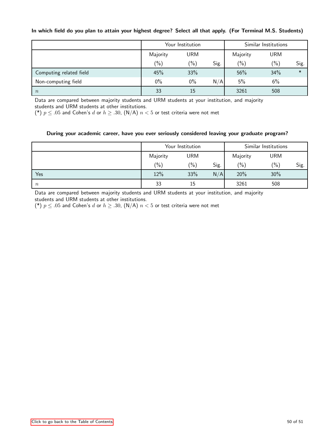### In which field do you plan to attain your highest degree? Select all that apply. (For Terminal M.S. Students)

|                         | Your Institution |            |      | Similar Institutions |            |        |
|-------------------------|------------------|------------|------|----------------------|------------|--------|
|                         | Majority         | <b>URM</b> |      | Majority             | <b>URM</b> |        |
|                         | $(\% )$          | $(\%)$     | Sig. | $(\% )$              | $(\% )$    | Sig.   |
| Computing related field | 45%              | 33%        |      | 56%                  | 34%        | $\ast$ |
| Non-computing field     | $0\%$            | $0\%$      | N/A  | 5%                   | 6%         |        |
| $\boldsymbol{n}$        | 33               | 15         |      | 3261                 | 508        |        |

Data are compared between majority students and URM students at your institution, and majority students and URM students at other institutions.

(\*)  $p \leq .05$  and Cohen's d or  $h \geq .30$ , (N/A)  $n < 5$  or test criteria were not met

### During your academic career, have you ever seriously considered leaving your graduate program?

<span id="page-49-0"></span>

|                  | Your Institution |               |      | Similar Institutions |            |      |
|------------------|------------------|---------------|------|----------------------|------------|------|
|                  | Majority         | <b>URM</b>    |      | Majority             | <b>URM</b> |      |
|                  | $(\% )$          | $\frac{1}{2}$ | Sig. | $(\% )$              | $(\% )$    | Sig. |
| Yes              | 12%              | 33%           | N/A  | 20%                  | 30%        |      |
| $\boldsymbol{n}$ | 33               | 15            |      | 3261                 | 508        |      |

Data are compared between majority students and URM students at your institution, and majority students and URM students at other institutions.